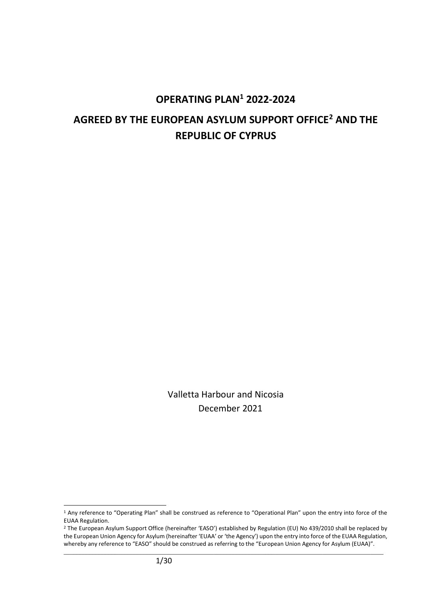# **OPERATING PLAN<sup>1</sup> 2022-2024 AGREED BY THE EUROPEAN ASYLUM SUPPORT OFFICE<sup>2</sup> AND THE REPUBLIC OF CYPRUS**

Valletta Harbour and Nicosia December 2021

<sup>1</sup> Any reference to "Operating Plan" shall be construed as reference to "Operational Plan" upon the entry into force of the EUAA Regulation.

<sup>2</sup> The European Asylum Support Office (hereinafter 'EASO') established by Regulation (EU) No 439/2010 shall be replaced by the European Union Agency for Asylum (hereinafter 'EUAA' or 'the Agency') upon the entry into force of the EUAA Regulation, whereby any reference to "EASO" should be construed as referring to the "European Union Agency for Asylum (EUAA)".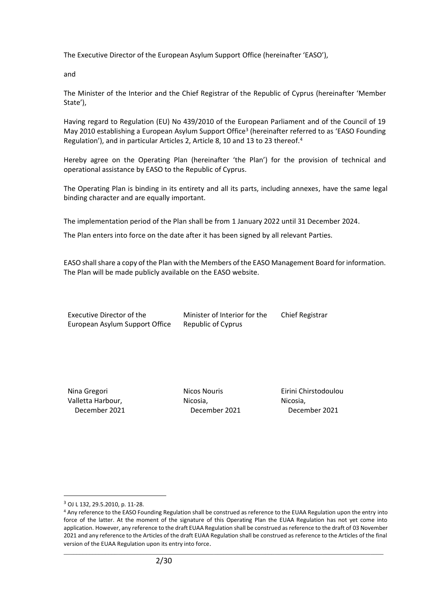The Executive Director of the European Asylum Support Office (hereinafter 'EASO'),

and

The Minister of the Interior and the Chief Registrar of the Republic of Cyprus (hereinafter 'Member State'),

Having regard to Regulation (EU) No 439/2010 of the European Parliament and of the Council of 19 May 2010 establishing a European Asylum Support Office<sup>3</sup> (hereinafter referred to as 'EASO Founding Regulation'), and in particular Articles 2, Article 8, 10 and 13 to 23 thereof.<sup>4</sup>

Hereby agree on the Operating Plan (hereinafter 'the Plan') for the provision of technical and operational assistance by EASO to the Republic of Cyprus.

The Operating Plan is binding in its entirety and all its parts, including annexes, have the same legal binding character and are equally important.

The implementation period of the Plan shall be from 1 January 2022 until 31 December 2024.

The Plan enters into force on the date after it has been signed by all relevant Parties.

EASO shall share a copy of the Plan with the Members of the EASO Management Board for information. The Plan will be made publicly available on the EASO website.

Executive Director of the European Asylum Support Office Minister of Interior for the Republic of Cyprus

Chief Registrar

Nina Gregori Valletta Harbour, December 2021 Nicos Nouris Nicosia, December 2021 Eirini Chirstodoulou Nicosia, December 2021

<sup>3</sup> OJ L 132, 29.5.2010, p. 11-28.

<sup>4</sup> Any reference to the EASO Founding Regulation shall be construed as reference to the EUAA Regulation upon the entry into force of the latter. At the moment of the signature of this Operating Plan the EUAA Regulation has not yet come into application. However, any reference to the draft EUAA Regulation shall be construed as reference to the draft of 03 November 2021 and any reference to the Articles of the draft EUAA Regulation shall be construed as reference to the Articles of the final version of the EUAA Regulation upon its entry into force.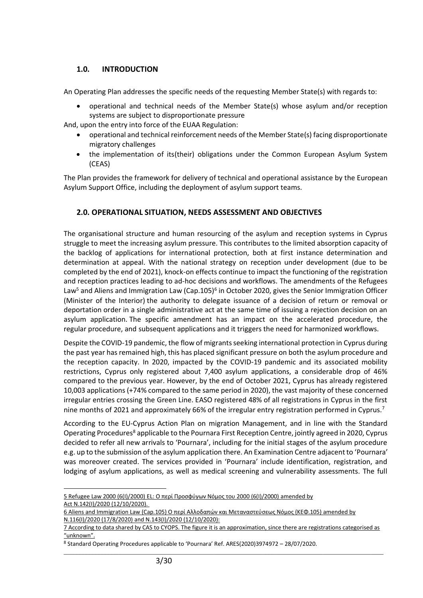# **1.0. INTRODUCTION**

An Operating Plan addresses the specific needs of the requesting Member State(s) with regards to:

• operational and technical needs of the Member State(s) whose asylum and/or reception systems are subject to disproportionate pressure

And, upon the entry into force of the EUAA Regulation:

- operational and technical reinforcement needs of the Member State(s) facing disproportionate migratory challenges
- the implementation of its(their) obligations under the Common European Asylum System (CEAS)

The Plan provides the framework for delivery of technical and operational assistance by the European Asylum Support Office, including the deployment of asylum support teams.

# **2.0. OPERATIONAL SITUATION, NEEDS ASSESSMENT AND OBJECTIVES**

The organisational structure and human resourcing of the asylum and reception systems in Cyprus struggle to meet the increasing asylum pressure. This contributes to the limited absorption capacity of the backlog of applications for international protection, both at first instance determination and determination at appeal. With the national strategy on reception under development (due to be completed by the end of 2021), knock-on effects continue to impact the functioning of the registration and reception practices leading to ad-hoc decisions and workflows. The amendments of the Refugees Law<sup>5</sup> and Aliens and Immigration Law (Cap.105)<sup>6</sup> in October 2020, gives the Senior Immigration Officer (Minister of the Interior) the authority to delegate issuance of a decision of return or removal or deportation order in a single administrative act at the same time of issuing a rejection decision on an asylum application. The specific amendment has an impact on the accelerated procedure, the regular procedure, and subsequent applications and it triggers the need for harmonized workflows.

Despite the COVID-19 pandemic, the flow of migrants seeking international protection in Cyprus during the past year has remained high, this has placed significant pressure on both the asylum procedure and the reception capacity. In 2020, impacted by the COVID-19 pandemic and its associated mobility restrictions, Cyprus only registered about 7,400 asylum applications, a considerable drop of 46% compared to the previous year. However, by the end of October 2021, Cyprus has already registered 10,003 applications (+74% compared to the same period in 2020), the vast majority of these concerned irregular entries crossing the Green Line. EASO registered 48% of all registrations in Cyprus in the first nine months of 2021 and approximately 66% of the irregular entry registration performed in Cyprus.<sup>7</sup>

According to the EU-Cyprus Action Plan on migration Management, and in line with the Standard Operating Procedures<sup>8</sup> applicable to the Pournara First Reception Centre, jointly agreed in 2020, Cyprus decided to refer all new arrivals to 'Pournara', including for the initial stages of the asylum procedure e.g. up to the submission of the asylum application there. An Examination Centre adjacent to 'Pournara' was moreover created. The services provided in 'Pournara' include identification, registration, and lodging of asylum applications, as well as medical screening and vulnerability assessments. The full

<sup>5</sup> Refugee Law [2000 \(6\(I\)/2000\)](http://www.cylaw.org/nomoi/enop/non-ind/2000_1_6/full.html) EL: Ο περί Προσφύγων Νόμος του 2000 (6(I)/2000) amended by Act [N.142\(I\)/2020](http://www.cylaw.org/nomoi/arith/2020_1_142.pdf) (12/10/2020).

<sup>6</sup> Aliens and Immigration Law (Cap.105) Ο περί Αλλοδαπών και Μεταναστεύσεως Νόμος (ΚΕΦ.105) amended by N.116(I)/2020 (17/8/2020) and N.143(I)/2020 (12/10/2020):

<sup>7</sup> According to data shared by CAS to CYOPS. The figure it is an approximation, since there are registrations categorised as "unknown".

<sup>8</sup> Standard Operating Procedures applicable to 'Pournara' Ref. ARES(2020)3974972 – 28/07/2020.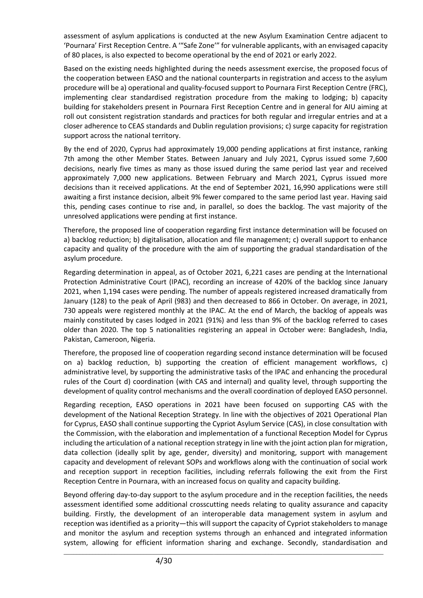assessment of asylum applications is conducted at the new Asylum Examination Centre adjacent to 'Pournara' First Reception Centre. A '"Safe Zone'" for vulnerable applicants, with an envisaged capacity of 80 places, is also expected to become operational by the end of 2021 or early 2022.

Based on the existing needs highlighted during the needs assessment exercise, the proposed focus of the cooperation between EASO and the national counterparts in registration and access to the asylum procedure will be a) operational and quality-focused support to Pournara First Reception Centre (FRC), implementing clear standardised registration procedure from the making to lodging; b) capacity building for stakeholders present in Pournara First Reception Centre and in general for AIU aiming at roll out consistent registration standards and practices for both regular and irregular entries and at a closer adherence to CEAS standards and Dublin regulation provisions; c) surge capacity for registration support across the national territory.

By the end of 2020, Cyprus had approximately 19,000 pending applications at first instance, ranking 7th among the other Member States. Between January and July 2021, Cyprus issued some 7,600 decisions, nearly five times as many as those issued during the same period last year and received approximately 7,000 new applications. Between February and March 2021, Cyprus issued more decisions than it received applications. At the end of September 2021, 16,990 applications were still awaiting a first instance decision, albeit 9% fewer compared to the same period last year. Having said this, pending cases continue to rise and, in parallel, so does the backlog. The vast majority of the unresolved applications were pending at first instance.

Therefore, the proposed line of cooperation regarding first instance determination will be focused on a) backlog reduction; b) digitalisation, allocation and file management; c) overall support to enhance capacity and quality of the procedure with the aim of supporting the gradual standardisation of the asylum procedure.

Regarding determination in appeal, as of October 2021, 6,221 cases are pending at the International Protection Administrative Court (IPAC), recording an increase of 420% of the backlog since January 2021, when 1,194 cases were pending. The number of appeals registered increased dramatically from January (128) to the peak of April (983) and then decreased to 866 in October. On average, in 2021, 730 appeals were registered monthly at the IPAC. At the end of March, the backlog of appeals was mainly constituted by cases lodged in 2021 (91%) and less than 9% of the backlog referred to cases older than 2020. The top 5 nationalities registering an appeal in October were: Bangladesh, India, Pakistan, Cameroon, Nigeria.

Therefore, the proposed line of cooperation regarding second instance determination will be focused on a) backlog reduction, b) supporting the creation of efficient management workflows, c) administrative level, by supporting the administrative tasks of the IPAC and enhancing the procedural rules of the Court d) coordination (with CAS and internal) and quality level, through supporting the development of quality control mechanisms and the overall coordination of deployed EASO personnel.

Regarding reception, EASO operations in 2021 have been focused on supporting CAS with the development of the National Reception Strategy. In line with the objectives of 2021 Operational Plan for Cyprus, EASO shall continue supporting the Cypriot Asylum Service (CAS), in close consultation with the Commission, with the elaboration and implementation of a functional Reception Model for Cyprus including the articulation of a national reception strategy in line with the joint action plan for migration, data collection (ideally split by age, gender, diversity) and monitoring, support with management capacity and development of relevant SOPs and workflows along with the continuation of social work and reception support in reception facilities, including referrals following the exit from the First Reception Centre in Pournara, with an increased focus on quality and capacity building.

Beyond offering day-to-day support to the asylum procedure and in the reception facilities, the needs assessment identified some additional crosscutting needs relating to quality assurance and capacity building. Firstly, the development of an interoperable data management system in asylum and reception was identified as a priority—this will support the capacity of Cypriot stakeholders to manage and monitor the asylum and reception systems through an enhanced and integrated information system, allowing for efficient information sharing and exchange. Secondly, standardisation and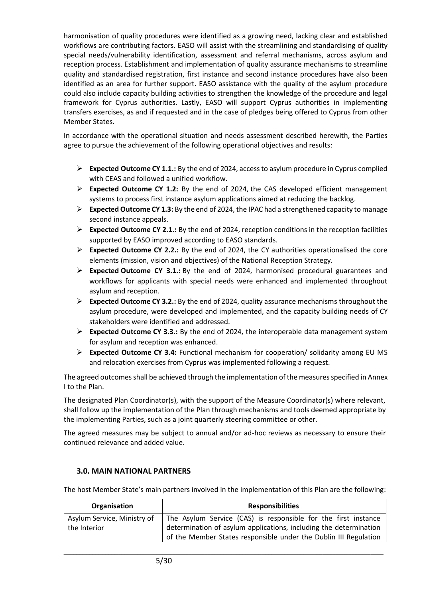harmonisation of quality procedures were identified as a growing need, lacking clear and established workflows are contributing factors. EASO will assist with the streamlining and standardising of quality special needs/vulnerability identification, assessment and referral mechanisms, across asylum and reception process. Establishment and implementation of quality assurance mechanisms to streamline quality and standardised registration, first instance and second instance procedures have also been identified as an area for further support. EASO assistance with the quality of the asylum procedure could also include capacity building activities to strengthen the knowledge of the procedure and legal framework for Cyprus authorities. Lastly, EASO will support Cyprus authorities in implementing transfers exercises, as and if requested and in the case of pledges being offered to Cyprus from other Member States.

In accordance with the operational situation and needs assessment described herewith, the Parties agree to pursue the achievement of the following operational objectives and results:

- ➢ **Expected Outcome CY 1.1.:** By the end of 2024, access to asylum procedure in Cyprus complied with CEAS and followed a unified workflow.
- ➢ **Expected Outcome CY 1.2:** By the end of 2024, the CAS developed efficient management systems to process first instance asylum applications aimed at reducing the backlog.
- ➢ **Expected Outcome CY 1.3:** By the end of 2024, the IPAC had a strengthened capacity to manage second instance appeals.
- ➢ **Expected Outcome CY 2.1.:** By the end of 2024, reception conditions in the reception facilities supported by EASO improved according to EASO standards.
- ➢ **Expected Outcome CY 2.2.:** By the end of 2024, the CY authorities operationalised the core elements (mission, vision and objectives) of the National Reception Strategy.
- ➢ **Expected Outcome CY 3.1.:** By the end of 2024, harmonised procedural guarantees and workflows for applicants with special needs were enhanced and implemented throughout asylum and reception.
- ➢ **Expected Outcome CY 3.2.:** By the end of 2024, quality assurance mechanisms throughout the asylum procedure, were developed and implemented, and the capacity building needs of CY stakeholders were identified and addressed.
- ➢ **Expected Outcome CY 3.3.:** By the end of 2024, the interoperable data management system for asylum and reception was enhanced.
- ➢ **Expected Outcome CY 3.4:** Functional mechanism for cooperation/ solidarity among EU MS and relocation exercises from Cyprus was implemented following a request.

The agreed outcomes shall be achieved through the implementation of the measures specified in Annex I to the Plan.

The designated Plan Coordinator(s), with the support of the Measure Coordinator(s) where relevant, shall follow up the implementation of the Plan through mechanisms and tools deemed appropriate by the implementing Parties, such as a joint quarterly steering committee or other.

The agreed measures may be subject to annual and/or ad-hoc reviews as necessary to ensure their continued relevance and added value.

# **3.0. MAIN NATIONAL PARTNERS**

The host Member State's main partners involved in the implementation of this Plan are the following:

| Organisation                | <b>Responsibilities</b>                                           |
|-----------------------------|-------------------------------------------------------------------|
| Asylum Service, Ministry of | The Asylum Service (CAS) is responsible for the first instance    |
| the Interior                | determination of asylum applications, including the determination |
|                             | of the Member States responsible under the Dublin III Regulation  |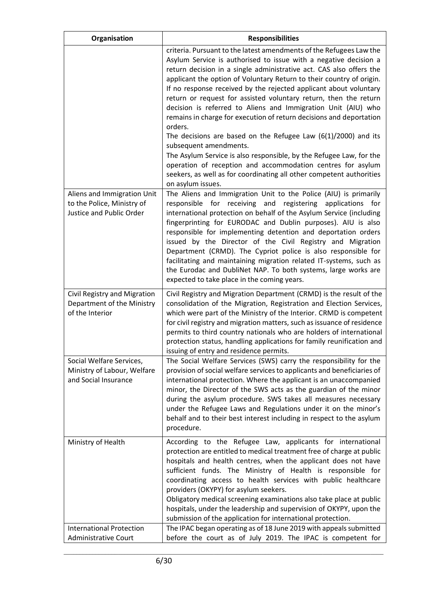| Organisation                                                                          | <b>Responsibilities</b>                                                                                                                                                                                                                                                                                                                                                                                                                                                                                                                                                                                                                                                                                                                                                                                                                                                                                             |
|---------------------------------------------------------------------------------------|---------------------------------------------------------------------------------------------------------------------------------------------------------------------------------------------------------------------------------------------------------------------------------------------------------------------------------------------------------------------------------------------------------------------------------------------------------------------------------------------------------------------------------------------------------------------------------------------------------------------------------------------------------------------------------------------------------------------------------------------------------------------------------------------------------------------------------------------------------------------------------------------------------------------|
|                                                                                       | criteria. Pursuant to the latest amendments of the Refugees Law the<br>Asylum Service is authorised to issue with a negative decision a<br>return decision in a single administrative act. CAS also offers the<br>applicant the option of Voluntary Return to their country of origin.<br>If no response received by the rejected applicant about voluntary<br>return or request for assisted voluntary return, then the return<br>decision is referred to Aliens and Immigration Unit (AIU) who<br>remains in charge for execution of return decisions and deportation<br>orders.<br>The decisions are based on the Refugee Law $(6(1)/2000)$ and its<br>subsequent amendments.<br>The Asylum Service is also responsible, by the Refugee Law, for the<br>operation of reception and accommodation centres for asylum<br>seekers, as well as for coordinating all other competent authorities<br>on asylum issues. |
| Aliens and Immigration Unit<br>to the Police, Ministry of<br>Justice and Public Order | The Aliens and Immigration Unit to the Police (AIU) is primarily<br>responsible for receiving<br>and<br>registering<br>applications<br>for<br>international protection on behalf of the Asylum Service (including<br>fingerprinting for EURODAC and Dublin purposes). AIU is also<br>responsible for implementing detention and deportation orders<br>issued by the Director of the Civil Registry and Migration<br>Department (CRMD). The Cypriot police is also responsible for<br>facilitating and maintaining migration related IT-systems, such as<br>the Eurodac and DubliNet NAP. To both systems, large works are<br>expected to take place in the coming years.                                                                                                                                                                                                                                            |
| Civil Registry and Migration<br>Department of the Ministry<br>of the Interior         | Civil Registry and Migration Department (CRMD) is the result of the<br>consolidation of the Migration, Registration and Election Services,<br>which were part of the Ministry of the Interior. CRMD is competent<br>for civil registry and migration matters, such as issuance of residence<br>permits to third country nationals who are holders of international<br>protection status, handling applications for family reunification and<br>issuing of entry and residence permits.                                                                                                                                                                                                                                                                                                                                                                                                                              |
| Social Welfare Services,<br>Ministry of Labour, Welfare<br>and Social Insurance       | The Social Welfare Services (SWS) carry the responsibility for the<br>provision of social welfare services to applicants and beneficiaries of<br>international protection. Where the applicant is an unaccompanied<br>minor, the Director of the SWS acts as the guardian of the minor<br>during the asylum procedure. SWS takes all measures necessary<br>under the Refugee Laws and Regulations under it on the minor's<br>behalf and to their best interest including in respect to the asylum<br>procedure.                                                                                                                                                                                                                                                                                                                                                                                                     |
| Ministry of Health                                                                    | According to the Refugee Law, applicants for international<br>protection are entitled to medical treatment free of charge at public<br>hospitals and health centres, when the applicant does not have<br>sufficient funds. The Ministry of Health is responsible for<br>coordinating access to health services with public healthcare<br>providers (OKYPY) for asylum seekers.<br>Obligatory medical screening examinations also take place at public<br>hospitals, under the leadership and supervision of OKYPY, upon the<br>submission of the application for international protection.                                                                                                                                                                                                                                                                                                                          |
| <b>International Protection</b><br><b>Administrative Court</b>                        | The IPAC began operating as of 18 June 2019 with appeals submitted<br>before the court as of July 2019. The IPAC is competent for                                                                                                                                                                                                                                                                                                                                                                                                                                                                                                                                                                                                                                                                                                                                                                                   |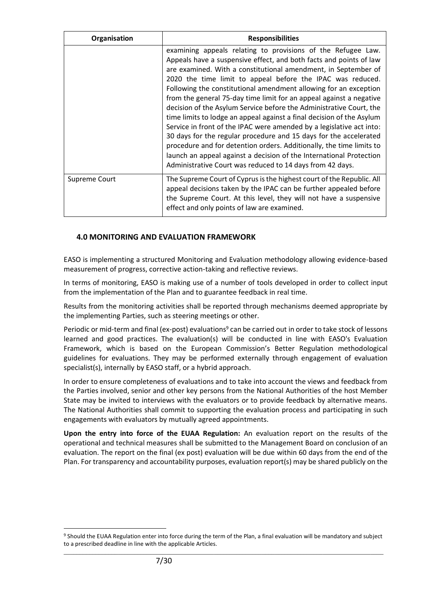| Organisation  | <b>Responsibilities</b>                                                                                                                                                                                                                                                                                                                                                                                                                                                                                                                                                                                                                                                                                                                                                                                                                                                                                                |
|---------------|------------------------------------------------------------------------------------------------------------------------------------------------------------------------------------------------------------------------------------------------------------------------------------------------------------------------------------------------------------------------------------------------------------------------------------------------------------------------------------------------------------------------------------------------------------------------------------------------------------------------------------------------------------------------------------------------------------------------------------------------------------------------------------------------------------------------------------------------------------------------------------------------------------------------|
|               | examining appeals relating to provisions of the Refugee Law.<br>Appeals have a suspensive effect, and both facts and points of law<br>are examined. With a constitutional amendment, in September of<br>2020 the time limit to appeal before the IPAC was reduced.<br>Following the constitutional amendment allowing for an exception<br>from the general 75-day time limit for an appeal against a negative<br>decision of the Asylum Service before the Administrative Court, the<br>time limits to lodge an appeal against a final decision of the Asylum<br>Service in front of the IPAC were amended by a legislative act into:<br>30 days for the regular procedure and 15 days for the accelerated<br>procedure and for detention orders. Additionally, the time limits to<br>launch an appeal against a decision of the International Protection<br>Administrative Court was reduced to 14 days from 42 days. |
| Supreme Court | The Supreme Court of Cyprus is the highest court of the Republic. All<br>appeal decisions taken by the IPAC can be further appealed before<br>the Supreme Court. At this level, they will not have a suspensive<br>effect and only points of law are examined.                                                                                                                                                                                                                                                                                                                                                                                                                                                                                                                                                                                                                                                         |

## **4.0 MONITORING AND EVALUATION FRAMEWORK**

EASO is implementing a structured Monitoring and Evaluation methodology allowing evidence-based measurement of progress, corrective action-taking and reflective reviews.

In terms of monitoring, EASO is making use of a number of tools developed in order to collect input from the implementation of the Plan and to guarantee feedback in real time.

Results from the monitoring activities shall be reported through mechanisms deemed appropriate by the implementing Parties, such as steering meetings or other.

Periodic or mid-term and final (ex-post) evaluations<sup>9</sup> can be carried out in order to take stock of lessons learned and good practices. The evaluation(s) will be conducted in line with EASO's Evaluation Framework, which is based on the European Commission's Better Regulation methodological guidelines for evaluations. They may be performed externally through engagement of evaluation specialist(s), internally by EASO staff, or a hybrid approach.

In order to ensure completeness of evaluations and to take into account the views and feedback from the Parties involved, senior and other key persons from the National Authorities of the host Member State may be invited to interviews with the evaluators or to provide feedback by alternative means. The National Authorities shall commit to supporting the evaluation process and participating in such engagements with evaluators by mutually agreed appointments.

**Upon the entry into force of the EUAA Regulation:** An evaluation report on the results of the operational and technical measures shall be submitted to the Management Board on conclusion of an evaluation. The report on the final (ex post) evaluation will be due within 60 days from the end of the Plan. For transparency and accountability purposes, evaluation report(s) may be shared publicly on the

\_\_\_\_\_\_\_\_\_\_\_\_\_\_\_\_\_\_\_\_\_\_\_\_\_\_\_\_\_\_\_\_\_\_\_\_\_\_\_\_\_\_\_\_\_\_\_\_\_\_\_\_\_\_\_\_\_\_\_\_\_\_\_\_\_\_\_\_\_\_\_\_\_\_\_\_\_\_\_\_\_\_\_\_\_\_\_\_\_\_\_\_\_\_\_\_\_\_\_\_ <sup>9</sup> Should the EUAA Regulation enter into force during the term of the Plan, a final evaluation will be mandatory and subject to a prescribed deadline in line with the applicable Articles.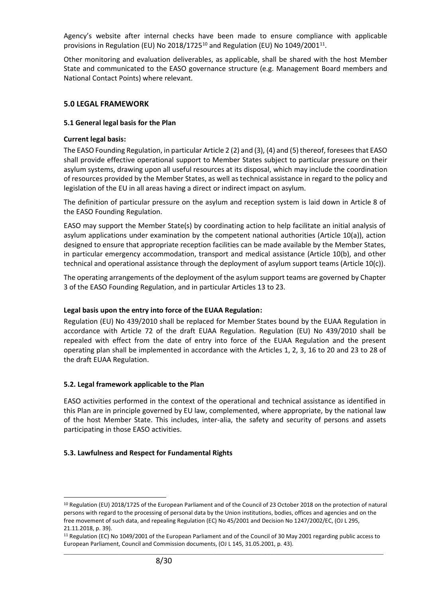Agency's website after internal checks have been made to ensure compliance with applicable provisions in Regulation (EU) No 2018/1725<sup>10</sup> and Regulation (EU) No 1049/2001<sup>11</sup>.

Other monitoring and evaluation deliverables, as applicable, shall be shared with the host Member State and communicated to the EASO governance structure (e.g. Management Board members and National Contact Points) where relevant.

## **5.0 LEGAL FRAMEWORK**

#### **5.1 General legal basis for the Plan**

## **Current legal basis:**

The EASO Founding Regulation, in particular Article 2 (2) and (3), (4) and (5) thereof, foresees that EASO shall provide effective operational support to Member States subject to particular pressure on their asylum systems, drawing upon all useful resources at its disposal, which may include the coordination of resources provided by the Member States, as well as technical assistance in regard to the policy and legislation of the EU in all areas having a direct or indirect impact on asylum.

The definition of particular pressure on the asylum and reception system is laid down in Article 8 of the EASO Founding Regulation.

EASO may support the Member State(s) by coordinating action to help facilitate an initial analysis of asylum applications under examination by the competent national authorities (Article 10(a)), action designed to ensure that appropriate reception facilities can be made available by the Member States, in particular emergency accommodation, transport and medical assistance (Article 10(b), and other technical and operational assistance through the deployment of asylum support teams (Article 10(c)).

The operating arrangements of the deployment of the asylum support teams are governed by Chapter 3 of the EASO Founding Regulation, and in particular Articles 13 to 23.

#### **Legal basis upon the entry into force of the EUAA Regulation:**

Regulation (EU) No 439/2010 shall be replaced for Member States bound by the EUAA Regulation in accordance with Article 72 of the draft EUAA Regulation. Regulation (EU) No 439/2010 shall be repealed with effect from the date of entry into force of the EUAA Regulation and the present operating plan shall be implemented in accordance with the Articles 1, 2, 3, 16 to 20 and 23 to 28 of the draft EUAA Regulation.

# **5.2. Legal framework applicable to the Plan**

EASO activities performed in the context of the operational and technical assistance as identified in this Plan are in principle governed by EU law, complemented, where appropriate, by the national law of the host Member State. This includes, inter-alia, the safety and security of persons and assets participating in those EASO activities.

#### **5.3. Lawfulness and Respect for Fundamental Rights**

<sup>10</sup> Regulation (EU) 2018/1725 of the European Parliament and of the Council of 23 October 2018 on the protection of natural persons with regard to the processing of personal data by the Union institutions, bodies, offices and agencies and on the free movement of such data, and repealing Regulation (EC) No 45/2001 and Decision No 1247/2002/EC, (OJ L 295, 21.11.2018, p. 39).

\_\_\_\_\_\_\_\_\_\_\_\_\_\_\_\_\_\_\_\_\_\_\_\_\_\_\_\_\_\_\_\_\_\_\_\_\_\_\_\_\_\_\_\_\_\_\_\_\_\_\_\_\_\_\_\_\_\_\_\_\_\_\_\_\_\_\_\_\_\_\_\_\_\_\_\_\_\_\_\_\_\_\_\_\_\_\_\_\_\_\_\_\_\_\_\_\_\_\_\_ <sup>11</sup> Regulation (EC) No 1049/2001 of the European Parliament and of the Council of 30 May 2001 regarding public access to European Parliament, Council and Commission documents, (OJ L 145, 31.05.2001, p. 43).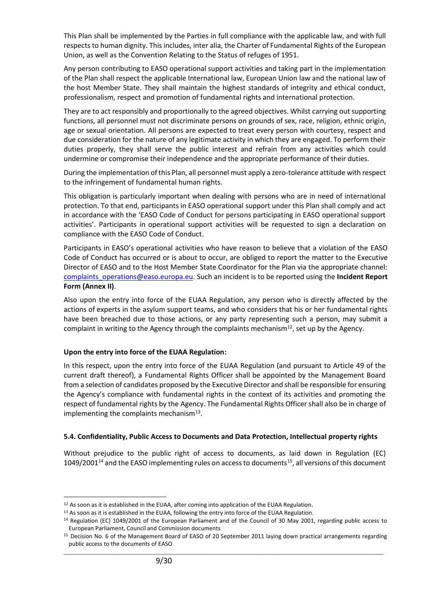This Plan shall be implemented by the Parties in full compliance with the applicable law, and with full respects to human dignity. This includes, inter alia, the Charter of Fundamental Rights of the European Union, as well as the Convention Relating to the Status of refuges of 1951.

Any person contributing to EASO operational support activities and taking part in the implementation of the Plan shall respect the applicable International law, European Union law and the national law of the host Member State. They shall maintain the highest standards of integrity and ethical conduct, professionalism, respect and promotion of fundamental rights and international protection.

They are to act responsibly and proportionally to the agreed objectives. Whilst carrying out supporting functions, all personnel must not discriminate persons on grounds of sex, race, religion, ethnic origin, age or sexual orientation. All persons are expected to treat every person with courtesy, respect and due consideration for the nature of any legitimate activity in which they are engaged. To perform their duties properly, they shall serve the public interest and refrain from any activities which could undermine or compromise their independence and the appropriate performance of their duties.

During the implementation of this Plan, all personnel must apply a zero-tolerance attitude with respect to the infringement of fundamental human rights.

This obligation is particularly important when dealing with persons who are in need of international protection. To that end, participants in EASO operational support under this Plan shall comply and act in accordance with the 'EASO Code of Conduct for persons participating in EASO operational support activities'. Participants in operational support activities will be requested to sign a declaration on compliance with the EASO Code of Conduct.

Participants in EASO's operational activities who have reason to believe that a violation of the EASO Code of Conduct has occurred or is about to occur, are obliged to report the matter to the Executive Director of EASO and to the Host Member State Coordinator for the Plan via the appropriate channel: [complaints\\_operations@easo.europa.eu.](mailto:complaints_operations@easo.europa.eu) Such an incident is to be reported using the **Incident Report Form (Annex II)**.

Also upon the entry into force of the EUAA Regulation, any person who is directly affected by the actions of experts in the asylum support teams, and who considers that his or her fundamental rights have been breached due to those actions, or any party representing such a person, may submit a complaint in writing to the Agency through the complaints mechanism<sup>12</sup>, set up by the Agency.

#### **Upon the entry into force of the EUAA Regulation:**

In this respect, upon the entry into force of the EUAA Regulation (and pursuant to Article 49 of the current draft thereof), a Fundamental Rights Officer shall be appointed by the Management Board from a selection of candidates proposed by the Executive Director and shall be responsible for ensuring the Agency's compliance with fundamental rights in the context of its activities and promoting the respect of fundamental rights by the Agency. The Fundamental Rights Officer shall also be in charge of implementing the complaints mechanism<sup>13</sup>.

#### **5.4. Confidentiality, Public Access to Documents and Data Protection, Intellectual property rights**

Without prejudice to the public right of access to documents, as laid down in Regulation (EC)  $1049/2001^{14}$  and the EASO implementing rules on access to documents<sup>15</sup>, all versions of this document

<sup>&</sup>lt;sup>12</sup> As soon as it is established in the EUAA, after coming into application of the EUAA Regulation.

<sup>&</sup>lt;sup>13</sup> As soon as it is established in the EUAA, following the entry into force of the EUAA Regulation.

<sup>14</sup> Regulation (EC) 1049/2001 of the European Parliament and of the Council of 30 May 2001, regarding public access to European Parliament, Council and Commission documents

\_\_\_\_\_\_\_\_\_\_\_\_\_\_\_\_\_\_\_\_\_\_\_\_\_\_\_\_\_\_\_\_\_\_\_\_\_\_\_\_\_\_\_\_\_\_\_\_\_\_\_\_\_\_\_\_\_\_\_\_\_\_\_\_\_\_\_\_\_\_\_\_\_\_\_\_\_\_\_\_\_\_\_\_\_\_\_\_\_\_\_\_\_\_\_\_\_\_\_\_ <sup>15</sup> Decision No. 6 of the Management Board of EASO of 20 September 2011 laying down practical arrangements regarding public access to the documents of EASO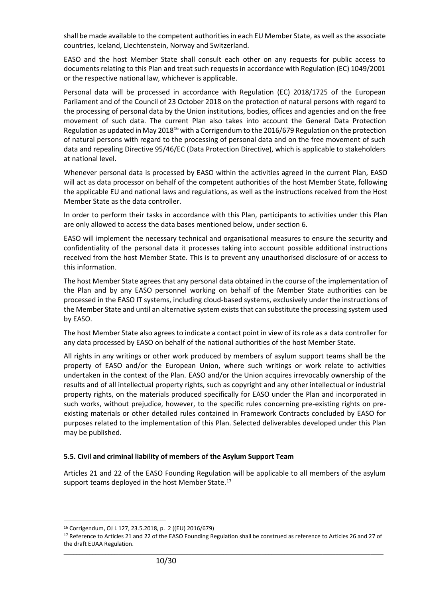shall be made available to the competent authorities in each EU Member State, as well as the associate countries, Iceland, Liechtenstein, Norway and Switzerland.

EASO and the host Member State shall consult each other on any requests for public access to documents relating to this Plan and treat such requests in accordance with Regulation (EC) 1049/2001 or the respective national law, whichever is applicable.

Personal data will be processed in accordance with Regulation (EC) 2018/1725 of the European Parliament and of the Council of 23 October 2018 on the protection of natural persons with regard to the processing of personal data by the Union institutions, bodies, offices and agencies and on the free movement of such data. The current Plan also takes into account the General Data Protection Regulation as updated in May 2018<sup>16</sup> with a Corrigendum to the 2016/679 Regulation on the protection of natural persons with regard to the processing of personal data and on the free movement of such data and repealing Directive 95/46/EC (Data Protection Directive), which is applicable to stakeholders at national level.

Whenever personal data is processed by EASO within the activities agreed in the current Plan, EASO will act as data processor on behalf of the competent authorities of the host Member State, following the applicable EU and national laws and regulations, as well as the instructions received from the Host Member State as the data controller.

In order to perform their tasks in accordance with this Plan, participants to activities under this Plan are only allowed to access the data bases mentioned below, under section 6.

EASO will implement the necessary technical and organisational measures to ensure the security and confidentiality of the personal data it processes taking into account possible additional instructions received from the host Member State. This is to prevent any unauthorised disclosure of or access to this information.

The host Member State agrees that any personal data obtained in the course of the implementation of the Plan and by any EASO personnel working on behalf of the Member State authorities can be processed in the EASO IT systems, including cloud-based systems, exclusively under the instructions of the Member State and until an alternative system exists that can substitute the processing system used by EASO.

The host Member State also agrees to indicate a contact point in view of its role as a data controller for any data processed by EASO on behalf of the national authorities of the host Member State.

All rights in any writings or other work produced by members of asylum support teams shall be the property of EASO and/or the European Union, where such writings or work relate to activities undertaken in the context of the Plan. EASO and/or the Union acquires irrevocably ownership of the results and of all intellectual property rights, such as copyright and any other intellectual or industrial property rights, on the materials produced specifically for EASO under the Plan and incorporated in such works, without prejudice, however, to the specific rules concerning pre-existing rights on preexisting materials or other detailed rules contained in Framework Contracts concluded by EASO for purposes related to the implementation of this Plan. Selected deliverables developed under this Plan may be published.

#### **5.5. Civil and criminal liability of members of the Asylum Support Team**

Articles 21 and 22 of the EASO Founding Regulation will be applicable to all members of the asylum support teams deployed in the host Member State.<sup>17</sup>

<sup>16</sup> Corrigendum, OJ L 127, 23.5.2018, p. 2 ((EU) 2016/679)

\_\_\_\_\_\_\_\_\_\_\_\_\_\_\_\_\_\_\_\_\_\_\_\_\_\_\_\_\_\_\_\_\_\_\_\_\_\_\_\_\_\_\_\_\_\_\_\_\_\_\_\_\_\_\_\_\_\_\_\_\_\_\_\_\_\_\_\_\_\_\_\_\_\_\_\_\_\_\_\_\_\_\_\_\_\_\_\_\_\_\_\_\_\_\_\_\_\_\_\_ <sup>17</sup> Reference to Articles 21 and 22 of the EASO Founding Regulation shall be construed as reference to Articles 26 and 27 of the draft EUAA Regulation.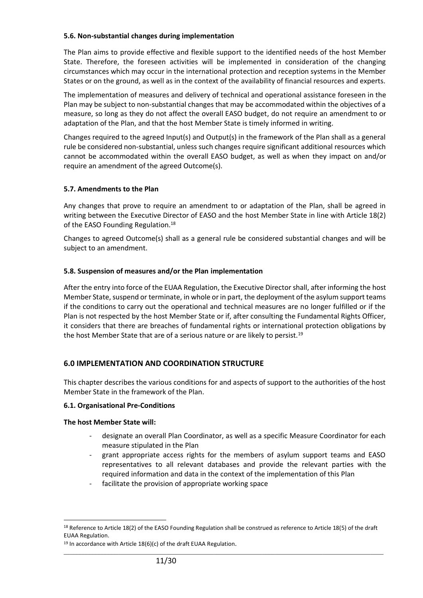#### **5.6. Non-substantial changes during implementation**

The Plan aims to provide effective and flexible support to the identified needs of the host Member State. Therefore, the foreseen activities will be implemented in consideration of the changing circumstances which may occur in the international protection and reception systems in the Member States or on the ground, as well as in the context of the availability of financial resources and experts.

The implementation of measures and delivery of technical and operational assistance foreseen in the Plan may be subject to non-substantial changes that may be accommodated within the objectives of a measure, so long as they do not affect the overall EASO budget, do not require an amendment to or adaptation of the Plan, and that the host Member State is timely informed in writing.

Changes required to the agreed Input(s) and Output(s) in the framework of the Plan shall as a general rule be considered non-substantial, unless such changes require significant additional resources which cannot be accommodated within the overall EASO budget, as well as when they impact on and/or require an amendment of the agreed Outcome(s).

#### **5.7. Amendments to the Plan**

Any changes that prove to require an amendment to or adaptation of the Plan, shall be agreed in writing between the Executive Director of EASO and the host Member State in line with Article 18(2) of the EASO Founding Regulation.<sup>18</sup>

Changes to agreed Outcome(s) shall as a general rule be considered substantial changes and will be subject to an amendment.

#### **5.8. Suspension of measures and/or the Plan implementation**

After the entry into force of the EUAA Regulation, the Executive Director shall, after informing the host Member State, suspend or terminate, in whole or in part, the deployment of the asylum support teams if the conditions to carry out the operational and technical measures are no longer fulfilled or if the Plan is not respected by the host Member State or if, after consulting the Fundamental Rights Officer, it considers that there are breaches of fundamental rights or international protection obligations by the host Member State that are of a serious nature or are likely to persist.<sup>19</sup>

#### **6.0 IMPLEMENTATION AND COORDINATION STRUCTURE**

This chapter describes the various conditions for and aspects of support to the authorities of the host Member State in the framework of the Plan.

#### **6.1. Organisational Pre-Conditions**

#### **The host Member State will:**

- designate an overall Plan Coordinator, as well as a specific Measure Coordinator for each measure stipulated in the Plan
- grant appropriate access rights for the members of asylum support teams and EASO representatives to all relevant databases and provide the relevant parties with the required information and data in the context of the implementation of this Plan
- facilitate the provision of appropriate working space

<sup>&</sup>lt;sup>18</sup> Reference to Article 18(2) of the EASO Founding Regulation shall be construed as reference to Article 18(5) of the draft EUAA Regulation.

 $19$  In accordance with Article 18(6)(c) of the draft EUAA Regulation.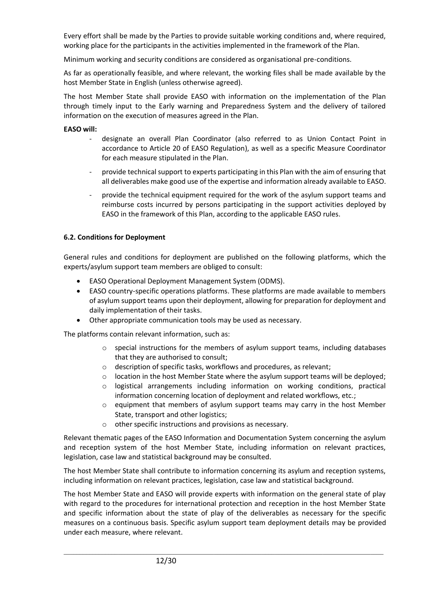Every effort shall be made by the Parties to provide suitable working conditions and, where required, working place for the participants in the activities implemented in the framework of the Plan.

Minimum working and security conditions are considered as organisational pre-conditions.

As far as operationally feasible, and where relevant, the working files shall be made available by the host Member State in English (unless otherwise agreed).

The host Member State shall provide EASO with information on the implementation of the Plan through timely input to the Early warning and Preparedness System and the delivery of tailored information on the execution of measures agreed in the Plan.

#### **EASO will:**

- designate an overall Plan Coordinator (also referred to as Union Contact Point in accordance to Article 20 of EASO Regulation), as well as a specific Measure Coordinator for each measure stipulated in the Plan.
- provide technical support to experts participating in this Plan with the aim of ensuring that all deliverables make good use of the expertise and information already available to EASO.
- provide the technical equipment required for the work of the asylum support teams and reimburse costs incurred by persons participating in the support activities deployed by EASO in the framework of this Plan, according to the applicable EASO rules.

#### **6.2. Conditions for Deployment**

General rules and conditions for deployment are published on the following platforms, which the experts/asylum support team members are obliged to consult:

- EASO Operational Deployment Management System (ODMS).
- EASO country-specific operations platforms. These platforms are made available to members of asylum support teams upon their deployment, allowing for preparation for deployment and daily implementation of their tasks.
- Other appropriate communication tools may be used as necessary.

The platforms contain relevant information, such as:

- $\circ$  special instructions for the members of asylum support teams, including databases that they are authorised to consult;
- o description of specific tasks, workflows and procedures, as relevant;
- o location in the host Member State where the asylum support teams will be deployed;
- $\circ$  logistical arrangements including information on working conditions, practical information concerning location of deployment and related workflows, etc.;
- o equipment that members of asylum support teams may carry in the host Member State, transport and other logistics;
- o other specific instructions and provisions as necessary.

Relevant thematic pages of the EASO Information and Documentation System concerning the asylum and reception system of the host Member State, including information on relevant practices, legislation, case law and statistical background may be consulted.

The host Member State shall contribute to information concerning its asylum and reception systems, including information on relevant practices, legislation, case law and statistical background.

The host Member State and EASO will provide experts with information on the general state of play with regard to the procedures for international protection and reception in the host Member State and specific information about the state of play of the deliverables as necessary for the specific measures on a continuous basis. Specific asylum support team deployment details may be provided under each measure, where relevant.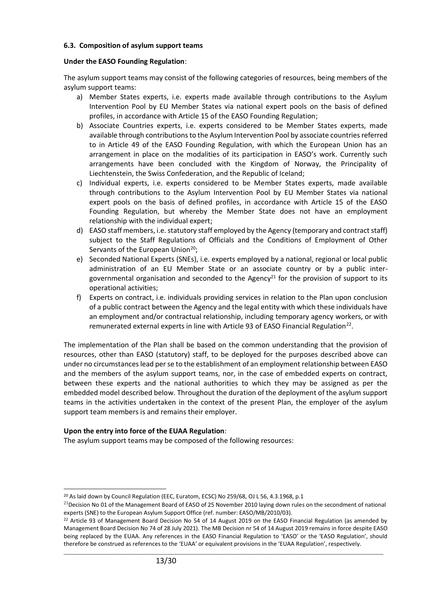#### **6.3. Composition of asylum support teams**

#### **Under the EASO Founding Regulation**:

The asylum support teams may consist of the following categories of resources, being members of the asylum support teams:

- a) Member States experts, i.e. experts made available through contributions to the Asylum Intervention Pool by EU Member States via national expert pools on the basis of defined profiles, in accordance with Article 15 of the EASO Founding Regulation;
- b) Associate Countries experts, i.e. experts considered to be Member States experts, made available through contributions to the Asylum Intervention Pool by associate countries referred to in Article 49 of the EASO Founding Regulation, with which the European Union has an arrangement in place on the modalities of its participation in EASO's work. Currently such arrangements have been concluded with the Kingdom of Norway, the Principality of Liechtenstein, the Swiss Confederation, and the Republic of Iceland;
- c) Individual experts, i.e. experts considered to be Member States experts, made available through contributions to the Asylum Intervention Pool by EU Member States via national expert pools on the basis of defined profiles, in accordance with Article 15 of the EASO Founding Regulation, but whereby the Member State does not have an employment relationship with the individual expert;
- d) EASO staff members, i.e. statutory staff employed by the Agency (temporary and contract staff) subject to the Staff Regulations of Officials and the Conditions of Employment of Other Servants of the European Union<sup>20</sup>;
- e) Seconded National Experts (SNEs), i.e. experts employed by a national, regional or local public administration of an EU Member State or an associate country or by a public intergovernmental organisation and seconded to the Agency<sup>21</sup> for the provision of support to its operational activities;
- f) Experts on contract, i.e. individuals providing services in relation to the Plan upon conclusion of a public contract between the Agency and the legal entity with which these individuals have an employment and/or contractual relationship, including temporary agency workers, or with remunerated external experts in line with Article 93 of EASO Financial Regulation<sup>22</sup>.

The implementation of the Plan shall be based on the common understanding that the provision of resources, other than EASO (statutory) staff, to be deployed for the purposes described above can under no circumstances lead per se to the establishment of an employment relationship between EASO and the members of the asylum support teams, nor, in the case of embedded experts on contract, between these experts and the national authorities to which they may be assigned as per the embedded model described below. Throughout the duration of the deployment of the asylum support teams in the activities undertaken in the context of the present Plan, the employer of the asylum support team members is and remains their employer.

#### **Upon the entry into force of the EUAA Regulation**:

The asylum support teams may be composed of the following resources:

<sup>&</sup>lt;sup>20</sup> As laid down by Council Regulation (EEC, Euratom, ECSC) No 259/68, OJ L 56, 4.3.1968, p.1

 $^{21}$ Decision No 01 of the Management Board of EASO of 25 November 2010 laying down rules on the secondment of national experts (SNE) to the European Asylum Support Office (ref. number: EASO/MB/2010/03).

\_\_\_\_\_\_\_\_\_\_\_\_\_\_\_\_\_\_\_\_\_\_\_\_\_\_\_\_\_\_\_\_\_\_\_\_\_\_\_\_\_\_\_\_\_\_\_\_\_\_\_\_\_\_\_\_\_\_\_\_\_\_\_\_\_\_\_\_\_\_\_\_\_\_\_\_\_\_\_\_\_\_\_\_\_\_\_\_\_\_\_\_\_\_\_\_\_\_\_\_ <sup>22</sup> Article 93 of Management Board Decision No 54 of 14 August 2019 on the EASO Financial Regulation (as amended by Management Board Decision No 74 of 28 July 2021). The MB Decision nr 54 of 14 August 2019 remains in force despite EASO being replaced by the EUAA. Any references in the EASO Financial Regulation to 'EASO' or the 'EASO Regulation', should therefore be construed as references to the 'EUAA' or equivalent provisions in the 'EUAA Regulation', respectively.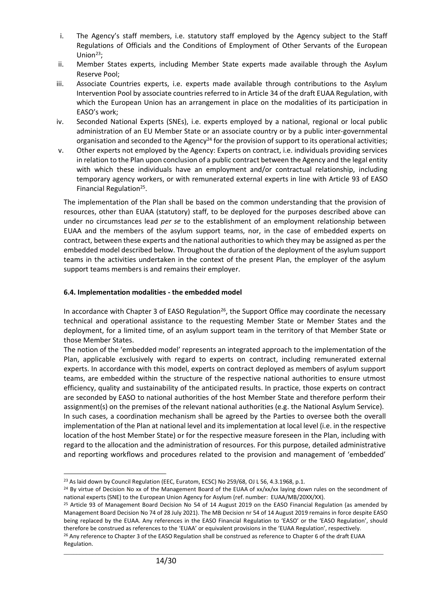- i. The Agency's staff members, i.e. statutory staff employed by the Agency subject to the Staff Regulations of Officials and the Conditions of Employment of Other Servants of the European Union $23$ ;
- ii. Member States experts, including Member State experts made available through the Asylum Reserve Pool;
- iii. Associate Countries experts, i.e. experts made available through contributions to the Asylum Intervention Pool by associate countries referred to in Article 34 of the draft EUAA Regulation, with which the European Union has an arrangement in place on the modalities of its participation in EASO's work;
- iv. Seconded National Experts (SNEs), i.e. experts employed by a national, regional or local public administration of an EU Member State or an associate country or by a public inter-governmental organisation and seconded to the Agency<sup>24</sup> for the provision of support to its operational activities;
- v. Other experts not employed by the Agency: Experts on contract, i.e. individuals providing services in relation to the Plan upon conclusion of a public contract between the Agency and the legal entity with which these individuals have an employment and/or contractual relationship, including temporary agency workers, or with remunerated external experts in line with Article 93 of EASO Financial Regulation<sup>25</sup>.

The implementation of the Plan shall be based on the common understanding that the provision of resources, other than EUAA (statutory) staff, to be deployed for the purposes described above can under no circumstances lead *per se* to the establishment of an employment relationship between EUAA and the members of the asylum support teams, nor, in the case of embedded experts on contract, between these experts and the national authorities to which they may be assigned as per the embedded model described below. Throughout the duration of the deployment of the asylum support teams in the activities undertaken in the context of the present Plan, the employer of the asylum support teams members is and remains their employer.

## **6.4. Implementation modalities - the embedded model**

In accordance with Chapter 3 of EASO Regulation<sup>26</sup>, the Support Office may coordinate the necessary technical and operational assistance to the requesting Member State or Member States and the deployment, for a limited time, of an asylum support team in the territory of that Member State or those Member States.

The notion of the 'embedded model' represents an integrated approach to the implementation of the Plan, applicable exclusively with regard to experts on contract, including remunerated external experts. In accordance with this model, experts on contract deployed as members of asylum support teams, are embedded within the structure of the respective national authorities to ensure utmost efficiency, quality and sustainability of the anticipated results. In practice, those experts on contract are seconded by EASO to national authorities of the host Member State and therefore perform their assignment(s) on the premises of the relevant national authorities (e.g. the National Asylum Service). In such cases, a coordination mechanism shall be agreed by the Parties to oversee both the overall implementation of the Plan at national level and its implementation at local level (i.e. in the respective location of the host Member State) or for the respective measure foreseen in the Plan, including with regard to the allocation and the administration of resources. For this purpose, detailed administrative and reporting workflows and procedures related to the provision and management of 'embedded'

<sup>&</sup>lt;sup>23</sup> As laid down by Council Regulation (EEC, Euratom, ECSC) No 259/68, OJ L 56, 4.3.1968, p.1.

<sup>&</sup>lt;sup>24</sup> By virtue of Decision No xx of the Management Board of the EUAA of xx/xx/xx laying down rules on the secondment of national experts (SNE) to the European Union Agency for Asylum (ref. number: EUAA/MB/20XX/XX).

<sup>&</sup>lt;sup>25</sup> Article 93 of Management Board Decision No 54 of 14 August 2019 on the EASO Financial Regulation (as amended by Management Board Decision No 74 of 28 July 2021). The MB Decision nr 54 of 14 August 2019 remains in force despite EASO being replaced by the EUAA. Any references in the EASO Financial Regulation to 'EASO' or the 'EASO Regulation', should therefore be construed as references to the 'EUAA' or equivalent provisions in the 'EUAA Regulation', respectively. <sup>26</sup> Any reference to Chapter 3 of the EASO Regulation shall be construed as reference to Chapter 6 of the draft EUAA Regulation.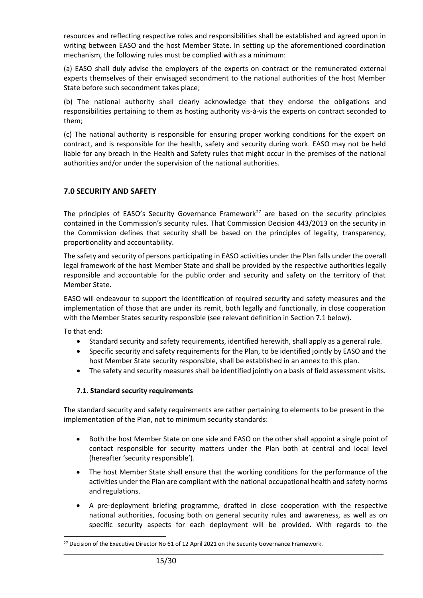resources and reflecting respective roles and responsibilities shall be established and agreed upon in writing between EASO and the host Member State. In setting up the aforementioned coordination mechanism, the following rules must be complied with as a minimum:

(a) EASO shall duly advise the employers of the experts on contract or the remunerated external experts themselves of their envisaged secondment to the national authorities of the host Member State before such secondment takes place;

(b) The national authority shall clearly acknowledge that they endorse the obligations and responsibilities pertaining to them as hosting authority vis-à-vis the experts on contract seconded to them;

(c) The national authority is responsible for ensuring proper working conditions for the expert on contract, and is responsible for the health, safety and security during work. EASO may not be held liable for any breach in the Health and Safety rules that might occur in the premises of the national authorities and/or under the supervision of the national authorities.

# **7.0 SECURITY AND SAFETY**

The principles of EASO's Security Governance Framework<sup>27</sup> are based on the security principles contained in the Commission's security rules. That Commission Decision 443/2013 on the security in the Commission defines that security shall be based on the principles of legality, transparency, proportionality and accountability.

The safety and security of persons participating in EASO activities under the Plan falls under the overall legal framework of the host Member State and shall be provided by the respective authorities legally responsible and accountable for the public order and security and safety on the territory of that Member State.

EASO will endeavour to support the identification of required security and safety measures and the implementation of those that are under its remit, both legally and functionally, in close cooperation with the Member States security responsible (see relevant definition in Section 7.1 below).

To that end:

- Standard security and safety requirements, identified herewith, shall apply as a general rule.
- Specific security and safety requirements for the Plan, to be identified jointly by EASO and the host Member State security responsible, shall be established in an annex to this plan.
- The safety and security measures shall be identified jointly on a basis of field assessment visits.

# **7.1. Standard security requirements**

The standard security and safety requirements are rather pertaining to elements to be present in the implementation of the Plan, not to minimum security standards:

- Both the host Member State on one side and EASO on the other shall appoint a single point of contact responsible for security matters under the Plan both at central and local level (hereafter 'security responsible').
- The host Member State shall ensure that the working conditions for the performance of the activities under the Plan are compliant with the national occupational health and safety norms and regulations.
- A pre-deployment briefing programme, drafted in close cooperation with the respective national authorities, focusing both on general security rules and awareness, as well as on specific security aspects for each deployment will be provided. With regards to the

<sup>&</sup>lt;sup>27</sup> Decision of the Executive Director No 61 of 12 April 2021 on the Security Governance Framework.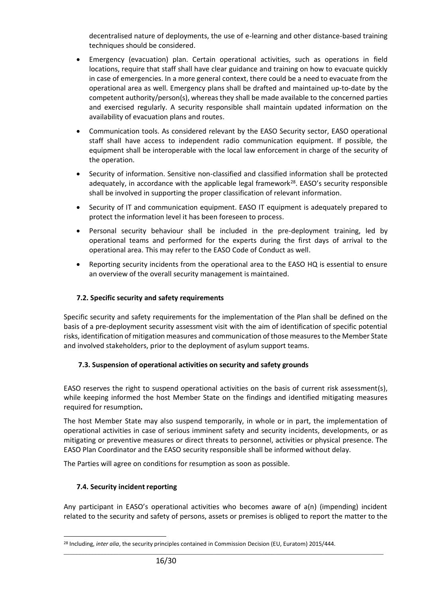decentralised nature of deployments, the use of e-learning and other distance-based training techniques should be considered.

- Emergency (evacuation) plan. Certain operational activities, such as operations in field locations, require that staff shall have clear guidance and training on how to evacuate quickly in case of emergencies. In a more general context, there could be a need to evacuate from the operational area as well. Emergency plans shall be drafted and maintained up-to-date by the competent authority/person(s), whereas they shall be made available to the concerned parties and exercised regularly. A security responsible shall maintain updated information on the availability of evacuation plans and routes.
- Communication tools. As considered relevant by the EASO Security sector, EASO operational staff shall have access to independent radio communication equipment. If possible, the equipment shall be interoperable with the local law enforcement in charge of the security of the operation.
- Security of information. Sensitive non-classified and classified information shall be protected adequately, in accordance with the applicable legal framework<sup>28</sup>. EASO's security responsible shall be involved in supporting the proper classification of relevant information.
- Security of IT and communication equipment. EASO IT equipment is adequately prepared to protect the information level it has been foreseen to process.
- Personal security behaviour shall be included in the pre-deployment training, led by operational teams and performed for the experts during the first days of arrival to the operational area. This may refer to the EASO Code of Conduct as well.
- Reporting security incidents from the operational area to the EASO HQ is essential to ensure an overview of the overall security management is maintained.

# **7.2. Specific security and safety requirements**

Specific security and safety requirements for the implementation of the Plan shall be defined on the basis of a pre-deployment security assessment visit with the aim of identification of specific potential risks, identification of mitigation measures and communication of those measures to the Member State and involved stakeholders, prior to the deployment of asylum support teams.

# **7.3. Suspension of operational activities on security and safety grounds**

EASO reserves the right to suspend operational activities on the basis of current risk assessment(s), while keeping informed the host Member State on the findings and identified mitigating measures required for resumption**.**

The host Member State may also suspend temporarily, in whole or in part, the implementation of operational activities in case of serious imminent safety and security incidents, developments, or as mitigating or preventive measures or direct threats to personnel, activities or physical presence. The EASO Plan Coordinator and the EASO security responsible shall be informed without delay.

The Parties will agree on conditions for resumption as soon as possible.

# **7.4. Security incident reporting**

Any participant in EASO's operational activities who becomes aware of a(n) (impending) incident related to the security and safety of persons, assets or premises is obliged to report the matter to the

\_\_\_\_\_\_\_\_\_\_\_\_\_\_\_\_\_\_\_\_\_\_\_\_\_\_\_\_\_\_\_\_\_\_\_\_\_\_\_\_\_\_\_\_\_\_\_\_\_\_\_\_\_\_\_\_\_\_\_\_\_\_\_\_\_\_\_\_\_\_\_\_\_\_\_\_\_\_\_\_\_\_\_\_\_\_\_\_\_\_\_\_\_\_\_\_\_\_\_\_ <sup>28</sup> Including, *inter alia*, the security principles contained in Commission Decision (EU, Euratom) 2015/444.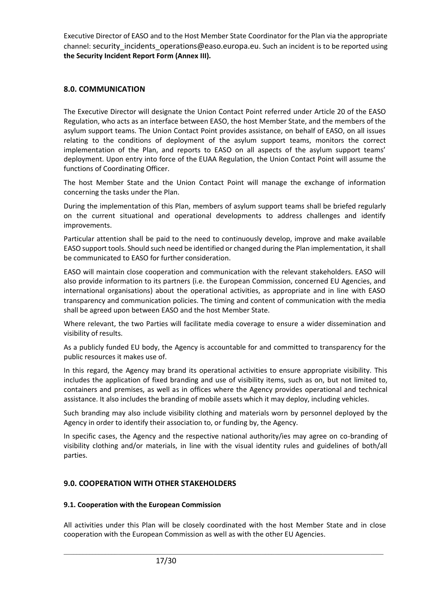Executive Director of EASO and to the Host Member State Coordinator for the Plan via the appropriate channel: security incidents operations@easo.europa.eu. Such an incident is to be reported using **the Security Incident Report Form (Annex III).**

# **8.0. COMMUNICATION**

The Executive Director will designate the Union Contact Point referred under Article 20 of the EASO Regulation, who acts as an interface between EASO, the host Member State, and the members of the asylum support teams. The Union Contact Point provides assistance, on behalf of EASO, on all issues relating to the conditions of deployment of the asylum support teams, monitors the correct implementation of the Plan, and reports to EASO on all aspects of the asylum support teams' deployment. Upon entry into force of the EUAA Regulation, the Union Contact Point will assume the functions of Coordinating Officer.

The host Member State and the Union Contact Point will manage the exchange of information concerning the tasks under the Plan.

During the implementation of this Plan, members of asylum support teams shall be briefed regularly on the current situational and operational developments to address challenges and identify improvements.

Particular attention shall be paid to the need to continuously develop, improve and make available EASO support tools. Should such need be identified or changed during the Plan implementation, it shall be communicated to EASO for further consideration.

EASO will maintain close cooperation and communication with the relevant stakeholders. EASO will also provide information to its partners (i.e. the European Commission, concerned EU Agencies, and international organisations) about the operational activities, as appropriate and in line with EASO transparency and communication policies. The timing and content of communication with the media shall be agreed upon between EASO and the host Member State.

Where relevant, the two Parties will facilitate media coverage to ensure a wider dissemination and visibility of results.

As a publicly funded EU body, the Agency is accountable for and committed to transparency for the public resources it makes use of.

In this regard, the Agency may brand its operational activities to ensure appropriate visibility. This includes the application of fixed branding and use of visibility items, such as on, but not limited to, containers and premises, as well as in offices where the Agency provides operational and technical assistance. It also includes the branding of mobile assets which it may deploy, including vehicles.

Such branding may also include visibility clothing and materials worn by personnel deployed by the Agency in order to identify their association to, or funding by, the Agency.

In specific cases, the Agency and the respective national authority/ies may agree on co-branding of visibility clothing and/or materials, in line with the visual identity rules and guidelines of both/all parties.

# **9.0. COOPERATION WITH OTHER STAKEHOLDERS**

#### **9.1. Cooperation with the European Commission**

All activities under this Plan will be closely coordinated with the host Member State and in close cooperation with the European Commission as well as with the other EU Agencies.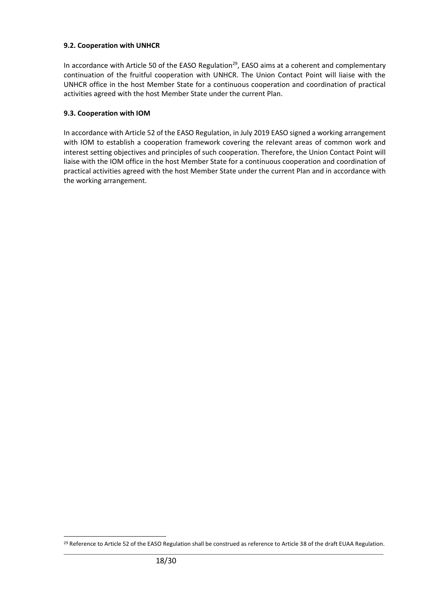## **9.2. Cooperation with UNHCR**

In accordance with Article 50 of the EASO Regulation<sup>29</sup>, EASO aims at a coherent and complementary continuation of the fruitful cooperation with UNHCR. The Union Contact Point will liaise with the UNHCR office in the host Member State for a continuous cooperation and coordination of practical activities agreed with the host Member State under the current Plan.

## **9.3. Cooperation with IOM**

In accordance with Article 52 of the EASO Regulation, in July 2019 EASO signed a working arrangement with IOM to establish a cooperation framework covering the relevant areas of common work and interest setting objectives and principles of such cooperation. Therefore, the Union Contact Point will liaise with the IOM office in the host Member State for a continuous cooperation and coordination of practical activities agreed with the host Member State under the current Plan and in accordance with the working arrangement.

\_\_\_\_\_\_\_\_\_\_\_\_\_\_\_\_\_\_\_\_\_\_\_\_\_\_\_\_\_\_\_\_\_\_\_\_\_\_\_\_\_\_\_\_\_\_\_\_\_\_\_\_\_\_\_\_\_\_\_\_\_\_\_\_\_\_\_\_\_\_\_\_\_\_\_\_\_\_\_\_\_\_\_\_\_\_\_\_\_\_\_\_\_\_\_\_\_\_\_\_ <sup>29</sup> Reference to Article 52 of the EASO Regulation shall be construed as reference to Article 38 of the draft EUAA Regulation.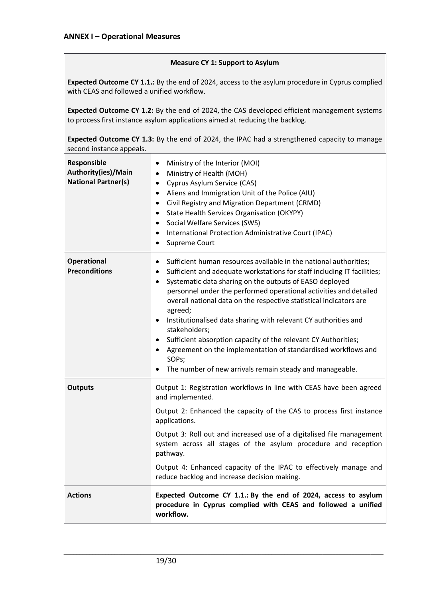#### **Measure CY 1: Support to Asylum**

**Expected Outcome CY 1.1.:** By the end of 2024, access to the asylum procedure in Cyprus complied with CEAS and followed a unified workflow.

**Expected Outcome CY 1.2:** By the end of 2024, the CAS developed efficient management systems to process first instance asylum applications aimed at reducing the backlog.

**Expected Outcome CY 1.3:** By the end of 2024, the IPAC had a strengthened capacity to manage second instance appeals.

| Responsible<br>Authority(ies)/Main<br><b>National Partner(s)</b> | Ministry of the Interior (MOI)<br>$\bullet$<br>Ministry of Health (MOH)<br>$\bullet$<br>Cyprus Asylum Service (CAS)<br>$\bullet$<br>Aliens and Immigration Unit of the Police (AIU)<br>$\bullet$<br>Civil Registry and Migration Department (CRMD)<br>$\bullet$<br>State Health Services Organisation (OKYPY)<br>$\bullet$<br>Social Welfare Services (SWS)<br>$\bullet$<br>International Protection Administrative Court (IPAC)<br>$\bullet$<br>Supreme Court<br>$\bullet$                                                                                                                                                                                                                                                |
|------------------------------------------------------------------|----------------------------------------------------------------------------------------------------------------------------------------------------------------------------------------------------------------------------------------------------------------------------------------------------------------------------------------------------------------------------------------------------------------------------------------------------------------------------------------------------------------------------------------------------------------------------------------------------------------------------------------------------------------------------------------------------------------------------|
| <b>Operational</b><br><b>Preconditions</b>                       | Sufficient human resources available in the national authorities;<br>$\bullet$<br>Sufficient and adequate workstations for staff including IT facilities;<br>$\bullet$<br>Systematic data sharing on the outputs of EASO deployed<br>$\bullet$<br>personnel under the performed operational activities and detailed<br>overall national data on the respective statistical indicators are<br>agreed;<br>Institutionalised data sharing with relevant CY authorities and<br>$\bullet$<br>stakeholders;<br>Sufficient absorption capacity of the relevant CY Authorities;<br>Agreement on the implementation of standardised workflows and<br>$\bullet$<br>SOPs;<br>The number of new arrivals remain steady and manageable. |
| <b>Outputs</b>                                                   | Output 1: Registration workflows in line with CEAS have been agreed<br>and implemented.<br>Output 2: Enhanced the capacity of the CAS to process first instance<br>applications.<br>Output 3: Roll out and increased use of a digitalised file management<br>system across all stages of the asylum procedure and reception<br>pathway.<br>Output 4: Enhanced capacity of the IPAC to effectively manage and<br>reduce backlog and increase decision making.                                                                                                                                                                                                                                                               |
| <b>Actions</b>                                                   | Expected Outcome CY 1.1.: By the end of 2024, access to asylum<br>procedure in Cyprus complied with CEAS and followed a unified<br>workflow.                                                                                                                                                                                                                                                                                                                                                                                                                                                                                                                                                                               |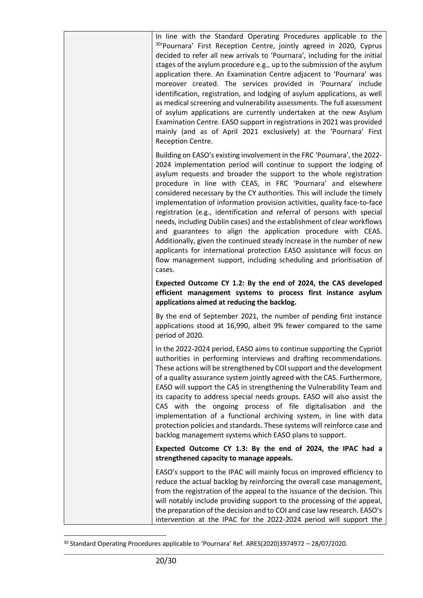In line with the Standard Operating Procedures applicable to the <sup>30</sup>'Pournara' First Reception Centre, jointly agreed in 2020, Cyprus decided to refer all new arrivals to 'Pournara', including for the initial stages of the asylum procedure e.g., up to the submission of the asylum application there. An Examination Centre adjacent to 'Pournara' was moreover created. The services provided in 'Pournara' include identification, registration, and lodging of asylum applications, as well as medical screening and vulnerability assessments. The full assessment of asylum applications are currently undertaken at the new Asylum Examination Centre. EASO support in registrations in 2021 was provided mainly (and as of April 2021 exclusively) at the 'Pournara' First Reception Centre. Building on EASO's existing involvement in the FRC 'Pournara', the 2022- 2024 implementation period will continue to support the lodging of asylum requests and broader the support to the whole registration procedure in line with CEAS, in FRC 'Pournara' and elsewhere considered necessary by the CY authorities. This will include the timely implementation of information provision activities, quality face-to-face registration (e.g., identification and referral of persons with special needs, including Dublin cases) and the establishment of clear workflows and guarantees to align the application procedure with CEAS. Additionally, given the continued steady increase in the number of new applicants for international protection EASO assistance will focus on flow management support, including scheduling and prioritisation of cases. **Expected Outcome CY 1.2: By the end of 2024, the CAS developed efficient management systems to process first instance asylum applications aimed at reducing the backlog.** By the end of September 2021, the number of pending first instance applications stood at 16,990, albeit 9% fewer compared to the same period of 2020. In the 2022-2024 period, EASO aims to continue supporting the Cypriot authorities in performing interviews and drafting recommendations. These actions will be strengthened by COI support and the development of a quality assurance system jointly agreed with the CAS. Furthermore, EASO will support the CAS in strengthening the Vulnerability Team and its capacity to address special needs groups. EASO will also assist the CAS with the ongoing process of file digitalisation and the implementation of a functional archiving system, in line with data protection policies and standards. These systems will reinforce case and backlog management systems which EASO plans to support. **Expected Outcome CY 1.3: By the end of 2024, the IPAC had a strengthened capacity to manage appeals.** EASO's support to the IPAC will mainly focus on improved efficiency to reduce the actual backlog by reinforcing the overall case management, from the registration of the appeal to the issuance of the decision. This will notably include providing support to the processing of the appeal, the preparation of the decision and to COI and case law research. EASO's intervention at the IPAC for the 2022-2024 period will support the

<sup>30</sup> Standard Operating Procedures applicable to 'Pournara' Ref. ARES(2020)3974972 – 28/07/2020.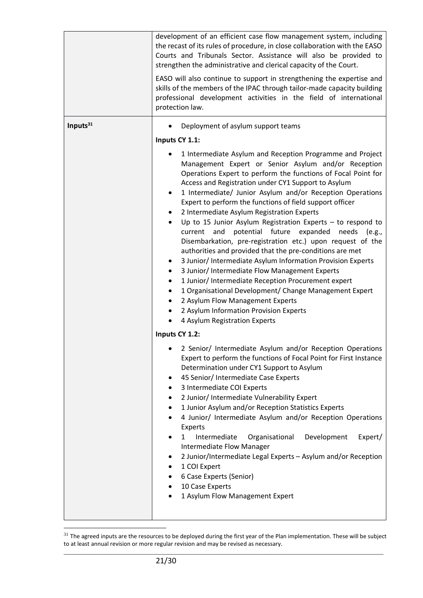|             | development of an efficient case flow management system, including<br>the recast of its rules of procedure, in close collaboration with the EASO<br>Courts and Tribunals Sector. Assistance will also be provided to<br>strengthen the administrative and clerical capacity of the Court.<br>EASO will also continue to support in strengthening the expertise and<br>skills of the members of the IPAC through tailor-made capacity building<br>professional development activities in the field of international<br>protection law.                                                                                                                                                                                                                                                                                                                                                                                                                                                                                                                     |
|-------------|-----------------------------------------------------------------------------------------------------------------------------------------------------------------------------------------------------------------------------------------------------------------------------------------------------------------------------------------------------------------------------------------------------------------------------------------------------------------------------------------------------------------------------------------------------------------------------------------------------------------------------------------------------------------------------------------------------------------------------------------------------------------------------------------------------------------------------------------------------------------------------------------------------------------------------------------------------------------------------------------------------------------------------------------------------------|
| Inputs $31$ | Deployment of asylum support teams                                                                                                                                                                                                                                                                                                                                                                                                                                                                                                                                                                                                                                                                                                                                                                                                                                                                                                                                                                                                                        |
|             | Inputs CY 1.1:                                                                                                                                                                                                                                                                                                                                                                                                                                                                                                                                                                                                                                                                                                                                                                                                                                                                                                                                                                                                                                            |
|             | 1 Intermediate Asylum and Reception Programme and Project<br>Management Expert or Senior Asylum and/or Reception<br>Operations Expert to perform the functions of Focal Point for<br>Access and Registration under CY1 Support to Asylum<br>1 Intermediate/ Junior Asylum and/or Reception Operations<br>٠<br>Expert to perform the functions of field support officer<br>2 Intermediate Asylum Registration Experts<br>Up to 15 Junior Asylum Registration Experts $-$ to respond to<br>$\bullet$<br>potential future expanded<br>current<br>and<br>needs<br>(e.g.,<br>Disembarkation, pre-registration etc.) upon request of the<br>authorities and provided that the pre-conditions are met<br>3 Junior/ Intermediate Asylum Information Provision Experts<br>3 Junior/ Intermediate Flow Management Experts<br>٠<br>1 Junior/ Intermediate Reception Procurement expert<br>٠<br>1 Organisational Development/ Change Management Expert<br>2 Asylum Flow Management Experts<br>2 Asylum Information Provision Experts<br>4 Asylum Registration Experts |
|             | Inputs CY 1.2:                                                                                                                                                                                                                                                                                                                                                                                                                                                                                                                                                                                                                                                                                                                                                                                                                                                                                                                                                                                                                                            |
|             | 2 Senior/ Intermediate Asylum and/or Reception Operations<br>Expert to perform the functions of Focal Point for First Instance<br>Determination under CY1 Support to Asylum<br>45 Senior/ Intermediate Case Experts<br>٠<br>3 Intermediate COI Experts<br>2 Junior/ Intermediate Vulnerability Expert<br>1 Junior Asylum and/or Reception Statistics Experts<br>٠<br>4 Junior/ Intermediate Asylum and/or Reception Operations<br>Experts<br>Intermediate<br>Development<br>Organisational<br>Expert/<br>1<br><b>Intermediate Flow Manager</b><br>2 Junior/Intermediate Legal Experts - Asylum and/or Reception<br>٠<br>1 COI Expert<br>6 Case Experts (Senior)<br>10 Case Experts<br>1 Asylum Flow Management Expert                                                                                                                                                                                                                                                                                                                                     |

\_\_\_\_\_\_\_\_\_\_\_\_\_\_\_\_\_\_\_\_\_\_\_\_\_\_\_\_\_\_\_\_\_\_\_\_\_\_\_\_\_\_\_\_\_\_\_\_\_\_\_\_\_\_\_\_\_\_\_\_\_\_\_\_\_\_\_\_\_\_\_\_\_\_\_\_\_\_\_\_\_\_\_\_\_\_\_\_\_\_\_\_\_\_\_\_\_\_\_\_  $31$  The agreed inputs are the resources to be deployed during the first year of the Plan implementation. These will be subject to at least annual revision or more regular revision and may be revised as necessary.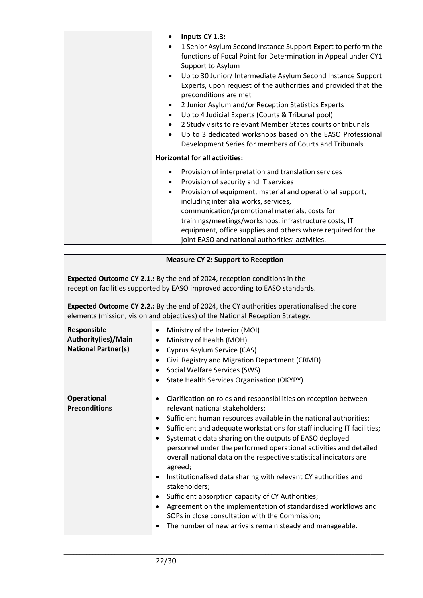| Inputs CY 1.3:<br>$\bullet$                                                |
|----------------------------------------------------------------------------|
| 1 Senior Asylum Second Instance Support Expert to perform the<br>$\bullet$ |
| functions of Focal Point for Determination in Appeal under CY1             |
| Support to Asylum                                                          |
| Up to 30 Junior/ Intermediate Asylum Second Instance Support<br>$\bullet$  |
| Experts, upon request of the authorities and provided that the             |
| preconditions are met                                                      |
| 2 Junior Asylum and/or Reception Statistics Experts<br>$\bullet$           |
| Up to 4 Judicial Experts (Courts & Tribunal pool)                          |
| 2 Study visits to relevant Member States courts or tribunals               |
| Up to 3 dedicated workshops based on the EASO Professional<br>$\bullet$    |
| Development Series for members of Courts and Tribunals.                    |
| <b>Horizontal for all activities:</b>                                      |
| Provision of interpretation and translation services                       |
| Provision of security and IT services                                      |
| Provision of equipment, material and operational support,<br>٠             |
| including inter alia works, services,                                      |
| communication/promotional materials, costs for                             |
| trainings/meetings/workshops, infrastructure costs, IT                     |
| equipment, office supplies and others where required for the               |
| joint EASO and national authorities' activities.                           |

## **Measure CY 2: Support to Reception**

**Expected Outcome CY 2.1.:**By the end of 2024, reception conditions in the reception facilities supported by EASO improved according to EASO standards.

**Expected Outcome CY 2.2.:** By the end of 2024, the CY authorities operationalised the core elements (mission, vision and objectives) of the National Reception Strategy.

| Responsible<br>Authority(ies)/Main<br><b>National Partner(s)</b> | Ministry of the Interior (MOI)<br>Ministry of Health (MOH)<br>Cyprus Asylum Service (CAS)<br>Civil Registry and Migration Department (CRMD)<br>Social Welfare Services (SWS)<br><b>State Health Services Organisation (OKYPY)</b>                                                                                                                                                                                                                                                                                                                                                                                                                                                                                                                                                                               |
|------------------------------------------------------------------|-----------------------------------------------------------------------------------------------------------------------------------------------------------------------------------------------------------------------------------------------------------------------------------------------------------------------------------------------------------------------------------------------------------------------------------------------------------------------------------------------------------------------------------------------------------------------------------------------------------------------------------------------------------------------------------------------------------------------------------------------------------------------------------------------------------------|
| <b>Operational</b><br><b>Preconditions</b>                       | Clarification on roles and responsibilities on reception between<br>relevant national stakeholders;<br>Sufficient human resources available in the national authorities;<br>٠<br>Sufficient and adequate workstations for staff including IT facilities;<br>$\bullet$<br>Systematic data sharing on the outputs of EASO deployed<br>personnel under the performed operational activities and detailed<br>overall national data on the respective statistical indicators are<br>agreed;<br>Institutionalised data sharing with relevant CY authorities and<br>stakeholders;<br>Sufficient absorption capacity of CY Authorities;<br>Agreement on the implementation of standardised workflows and<br>SOPs in close consultation with the Commission;<br>The number of new arrivals remain steady and manageable. |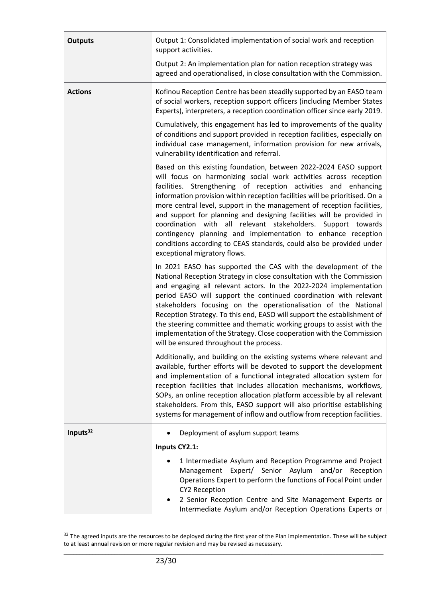| <b>Outputs</b>       | Output 1: Consolidated implementation of social work and reception<br>support activities.                                                                                                                                                                                                                                                                                                                                                                                                                                                                                                                                                                                           |
|----------------------|-------------------------------------------------------------------------------------------------------------------------------------------------------------------------------------------------------------------------------------------------------------------------------------------------------------------------------------------------------------------------------------------------------------------------------------------------------------------------------------------------------------------------------------------------------------------------------------------------------------------------------------------------------------------------------------|
|                      | Output 2: An implementation plan for nation reception strategy was<br>agreed and operationalised, in close consultation with the Commission.                                                                                                                                                                                                                                                                                                                                                                                                                                                                                                                                        |
| <b>Actions</b>       | Kofinou Reception Centre has been steadily supported by an EASO team<br>of social workers, reception support officers (including Member States<br>Experts), interpreters, a reception coordination officer since early 2019.                                                                                                                                                                                                                                                                                                                                                                                                                                                        |
|                      | Cumulatively, this engagement has led to improvements of the quality<br>of conditions and support provided in reception facilities, especially on<br>individual case management, information provision for new arrivals,<br>vulnerability identification and referral.                                                                                                                                                                                                                                                                                                                                                                                                              |
|                      | Based on this existing foundation, between 2022-2024 EASO support<br>will focus on harmonizing social work activities across reception<br>facilities. Strengthening of reception activities and enhancing<br>information provision within reception facilities will be prioritised. On a<br>more central level, support in the management of reception facilities,<br>and support for planning and designing facilities will be provided in<br>coordination with all relevant stakeholders. Support towards<br>contingency planning and implementation to enhance reception<br>conditions according to CEAS standards, could also be provided under<br>exceptional migratory flows. |
|                      | In 2021 EASO has supported the CAS with the development of the<br>National Reception Strategy in close consultation with the Commission<br>and engaging all relevant actors. In the 2022-2024 implementation<br>period EASO will support the continued coordination with relevant<br>stakeholders focusing on the operationalisation of the National<br>Reception Strategy. To this end, EASO will support the establishment of<br>the steering committee and thematic working groups to assist with the<br>implementation of the Strategy. Close cooperation with the Commission<br>will be ensured throughout the process.                                                        |
|                      | Additionally, and building on the existing systems where relevant and<br>available, further efforts will be devoted to support the development<br>and implementation of a functional integrated allocation system for<br>reception facilities that includes allocation mechanisms, workflows,<br>SOPs, an online reception allocation platform accessible by all relevant<br>stakeholders. From this, EASO support will also prioritise establishing<br>systems for management of inflow and outflow from reception facilities.                                                                                                                                                     |
| Inputs <sup>32</sup> | Deployment of asylum support teams<br>$\bullet$                                                                                                                                                                                                                                                                                                                                                                                                                                                                                                                                                                                                                                     |
|                      | Inputs CY2.1:                                                                                                                                                                                                                                                                                                                                                                                                                                                                                                                                                                                                                                                                       |
|                      | 1 Intermediate Asylum and Reception Programme and Project<br>Management Expert/ Senior Asylum and/or<br>Reception<br>Operations Expert to perform the functions of Focal Point under<br><b>CY2 Reception</b><br>2 Senior Reception Centre and Site Management Experts or                                                                                                                                                                                                                                                                                                                                                                                                            |
|                      | Intermediate Asylum and/or Reception Operations Experts or                                                                                                                                                                                                                                                                                                                                                                                                                                                                                                                                                                                                                          |

\_\_\_\_\_\_\_\_\_\_\_\_\_\_\_\_\_\_\_\_\_\_\_\_\_\_\_\_\_\_\_\_\_\_\_\_\_\_\_\_\_\_\_\_\_\_\_\_\_\_\_\_\_\_\_\_\_\_\_\_\_\_\_\_\_\_\_\_\_\_\_\_\_\_\_\_\_\_\_\_\_\_\_\_\_\_\_\_\_\_\_\_\_\_\_\_\_\_\_\_  $32$  The agreed inputs are the resources to be deployed during the first year of the Plan implementation. These will be subject to at least annual revision or more regular revision and may be revised as necessary.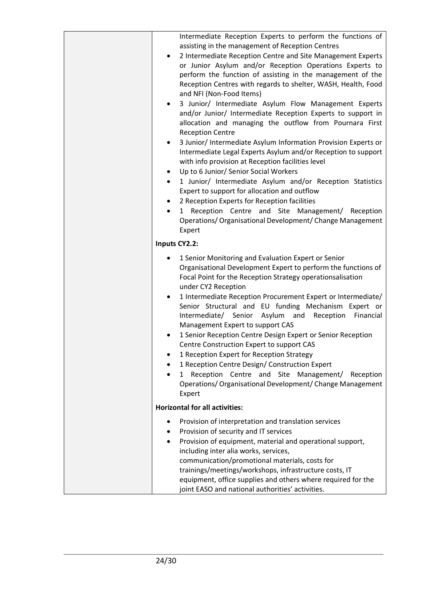| Intermediate Reception Experts to perform the functions of<br>assisting in the management of Reception Centres<br>2 Intermediate Reception Centre and Site Management Experts<br>٠<br>or Junior Asylum and/or Reception Operations Experts to<br>perform the function of assisting in the management of the<br>Reception Centres with regards to shelter, WASH, Health, Food<br>and NFI (Non-Food Items)<br>3 Junior/ Intermediate Asylum Flow Management Experts<br>٠<br>and/or Junior/ Intermediate Reception Experts to support in<br>allocation and managing the outflow from Pournara First<br><b>Reception Centre</b><br>3 Junior/ Intermediate Asylum Information Provision Experts or<br>٠<br>Intermediate Legal Experts Asylum and/or Reception to support<br>with info provision at Reception facilities level<br>Up to 6 Junior/ Senior Social Workers<br>$\bullet$<br>1 Junior/ Intermediate Asylum and/or Reception Statistics<br>$\bullet$<br>Expert to support for allocation and outflow<br>2 Reception Experts for Reception facilities<br>1 Reception Centre and Site Management/<br>Reception<br>$\bullet$<br>Operations/ Organisational Development/ Change Management<br>Expert |
|------------------------------------------------------------------------------------------------------------------------------------------------------------------------------------------------------------------------------------------------------------------------------------------------------------------------------------------------------------------------------------------------------------------------------------------------------------------------------------------------------------------------------------------------------------------------------------------------------------------------------------------------------------------------------------------------------------------------------------------------------------------------------------------------------------------------------------------------------------------------------------------------------------------------------------------------------------------------------------------------------------------------------------------------------------------------------------------------------------------------------------------------------------------------------------------------------|
| Inputs CY2.2:                                                                                                                                                                                                                                                                                                                                                                                                                                                                                                                                                                                                                                                                                                                                                                                                                                                                                                                                                                                                                                                                                                                                                                                        |
| 1 Senior Monitoring and Evaluation Expert or Senior<br>٠<br>Organisational Development Expert to perform the functions of<br>Focal Point for the Reception Strategy operationsalisation<br>under CY2 Reception<br>1 Intermediate Reception Procurement Expert or Intermediate/<br>$\bullet$<br>Senior Structural and EU funding Mechanism Expert or<br>Intermediate/ Senior Asylum and<br>Reception<br>Financial<br>Management Expert to support CAS<br>1 Senior Reception Centre Design Expert or Senior Reception<br>Centre Construction Expert to support CAS<br>1 Reception Expert for Reception Strategy<br>1 Reception Centre Design/ Construction Expert<br>Reception Centre and Site Management/ Reception<br>$\mathbf{1}$<br>Operations/ Organisational Development/ Change Management<br>Expert                                                                                                                                                                                                                                                                                                                                                                                            |
| <b>Horizontal for all activities:</b>                                                                                                                                                                                                                                                                                                                                                                                                                                                                                                                                                                                                                                                                                                                                                                                                                                                                                                                                                                                                                                                                                                                                                                |
| Provision of interpretation and translation services<br>Provision of security and IT services<br>Provision of equipment, material and operational support,<br>٠<br>including inter alia works, services,<br>communication/promotional materials, costs for<br>trainings/meetings/workshops, infrastructure costs, IT<br>equipment, office supplies and others where required for the<br>joint EASO and national authorities' activities.                                                                                                                                                                                                                                                                                                                                                                                                                                                                                                                                                                                                                                                                                                                                                             |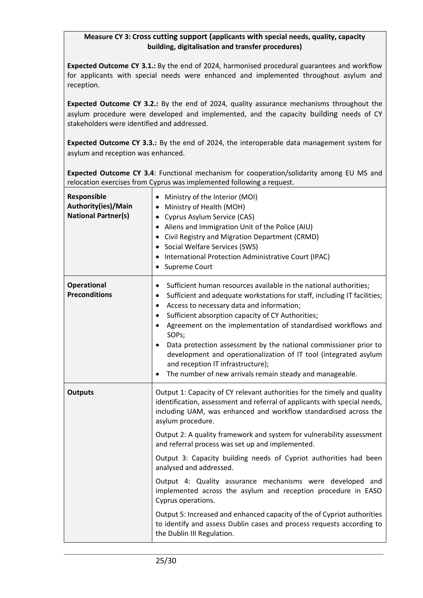## **Measure CY 3: Cross cutting support (applicants with special needs, quality, capacity building, digitalisation and transfer procedures)**

**Expected Outcome CY 3.1.:** By the end of 2024, harmonised procedural guarantees and workflow for applicants with special needs were enhanced and implemented throughout asylum and reception.

**Expected Outcome CY 3.2.:** By the end of 2024, quality assurance mechanisms throughout the asylum procedure were developed and implemented, and the capacity building needs of CY stakeholders were identified and addressed.

**Expected Outcome CY 3.3.:** By the end of 2024, the interoperable data management system for asylum and reception was enhanced.

**Expected Outcome CY 3.4**: Functional mechanism for cooperation/solidarity among EU MS and relocation exercises from Cyprus was implemented following a request.

| Responsible<br>Authority(ies)/Main<br><b>National Partner(s)</b> | Ministry of the Interior (MOI)<br>Ministry of Health (MOH)<br>• Cyprus Asylum Service (CAS)<br>• Aliens and Immigration Unit of the Police (AIU)<br>• Civil Registry and Migration Department (CRMD)<br>• Social Welfare Services (SWS)<br>• International Protection Administrative Court (IPAC)<br>Supreme Court                                                                                                                                                                                                                                                                                                                                                                                                                                                                                                |
|------------------------------------------------------------------|-------------------------------------------------------------------------------------------------------------------------------------------------------------------------------------------------------------------------------------------------------------------------------------------------------------------------------------------------------------------------------------------------------------------------------------------------------------------------------------------------------------------------------------------------------------------------------------------------------------------------------------------------------------------------------------------------------------------------------------------------------------------------------------------------------------------|
| <b>Operational</b><br><b>Preconditions</b>                       | Sufficient human resources available in the national authorities;<br>٠<br>Sufficient and adequate workstations for staff, including IT facilities;<br>$\bullet$<br>Access to necessary data and information;<br>٠<br>Sufficient absorption capacity of CY Authorities;<br>$\bullet$<br>Agreement on the implementation of standardised workflows and<br>$\bullet$<br>SOPs;<br>Data protection assessment by the national commissioner prior to<br>development and operationalization of IT tool (integrated asylum<br>and reception IT infrastructure);<br>The number of new arrivals remain steady and manageable.                                                                                                                                                                                               |
| <b>Outputs</b>                                                   | Output 1: Capacity of CY relevant authorities for the timely and quality<br>identification, assessment and referral of applicants with special needs,<br>including UAM, was enhanced and workflow standardised across the<br>asylum procedure.<br>Output 2: A quality framework and system for vulnerability assessment<br>and referral process was set up and implemented.<br>Output 3: Capacity building needs of Cypriot authorities had been<br>analysed and addressed.<br>Output 4: Quality assurance mechanisms were developed and<br>implemented across the asylum and reception procedure in EASO<br>Cyprus operations.<br>Output 5: Increased and enhanced capacity of the of Cypriot authorities<br>to identify and assess Dublin cases and process requests according to<br>the Dublin III Regulation. |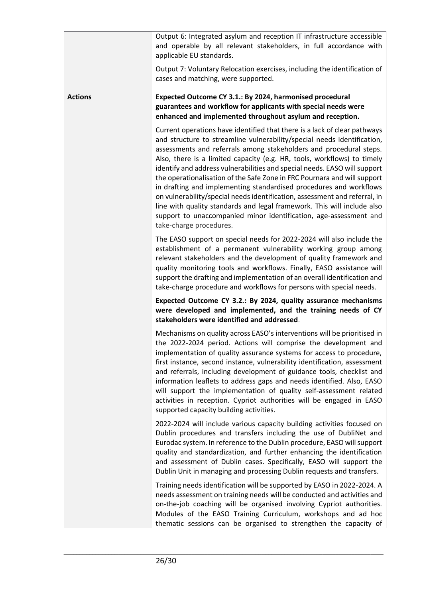|                | Output 6: Integrated asylum and reception IT infrastructure accessible<br>and operable by all relevant stakeholders, in full accordance with<br>applicable EU standards.                                                                                                                                                                                                                                                                                                                                                                                                                                                                                                                                                                                                                      |
|----------------|-----------------------------------------------------------------------------------------------------------------------------------------------------------------------------------------------------------------------------------------------------------------------------------------------------------------------------------------------------------------------------------------------------------------------------------------------------------------------------------------------------------------------------------------------------------------------------------------------------------------------------------------------------------------------------------------------------------------------------------------------------------------------------------------------|
|                | Output 7: Voluntary Relocation exercises, including the identification of<br>cases and matching, were supported.                                                                                                                                                                                                                                                                                                                                                                                                                                                                                                                                                                                                                                                                              |
| <b>Actions</b> | Expected Outcome CY 3.1.: By 2024, harmonised procedural<br>guarantees and workflow for applicants with special needs were<br>enhanced and implemented throughout asylum and reception.                                                                                                                                                                                                                                                                                                                                                                                                                                                                                                                                                                                                       |
|                | Current operations have identified that there is a lack of clear pathways<br>and structure to streamline vulnerability/special needs identification,<br>assessments and referrals among stakeholders and procedural steps.<br>Also, there is a limited capacity (e.g. HR, tools, workflows) to timely<br>identify and address vulnerabilities and special needs. EASO will support<br>the operationalisation of the Safe Zone in FRC Pournara and will support<br>in drafting and implementing standardised procedures and workflows<br>on vulnerability/special needs identification, assessment and referral, in<br>line with quality standards and legal framework. This will include also<br>support to unaccompanied minor identification, age-assessment and<br>take-charge procedures. |
|                | The EASO support on special needs for 2022-2024 will also include the<br>establishment of a permanent vulnerability working group among<br>relevant stakeholders and the development of quality framework and<br>quality monitoring tools and workflows. Finally, EASO assistance will<br>support the drafting and implementation of an overall identification and<br>take-charge procedure and workflows for persons with special needs.                                                                                                                                                                                                                                                                                                                                                     |
|                | Expected Outcome CY 3.2.: By 2024, quality assurance mechanisms<br>were developed and implemented, and the training needs of CY<br>stakeholders were identified and addressed.                                                                                                                                                                                                                                                                                                                                                                                                                                                                                                                                                                                                                |
|                | Mechanisms on quality across EASO's interventions will be prioritised in<br>the 2022-2024 period. Actions will comprise the development and<br>implementation of quality assurance systems for access to procedure,<br>first instance, second instance, vulnerability identification, assessment<br>and referrals, including development of guidance tools, checklist and<br>information leaflets to address gaps and needs identified. Also, EASO<br>will support the implementation of quality self-assessment related<br>activities in reception. Cypriot authorities will be engaged in EASO<br>supported capacity building activities.                                                                                                                                                   |
|                | 2022-2024 will include various capacity building activities focused on<br>Dublin procedures and transfers including the use of DubliNet and<br>Eurodac system. In reference to the Dublin procedure, EASO will support<br>quality and standardization, and further enhancing the identification<br>and assessment of Dublin cases. Specifically, EASO will support the<br>Dublin Unit in managing and processing Dublin requests and transfers.                                                                                                                                                                                                                                                                                                                                               |
|                | Training needs identification will be supported by EASO in 2022-2024. A<br>needs assessment on training needs will be conducted and activities and<br>on-the-job coaching will be organised involving Cypriot authorities.<br>Modules of the EASO Training Curriculum, workshops and ad hoc<br>thematic sessions can be organised to strengthen the capacity of                                                                                                                                                                                                                                                                                                                                                                                                                               |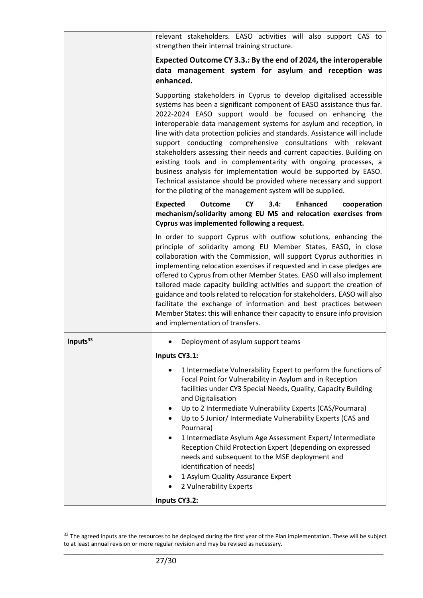|                      | relevant stakeholders. EASO activities will also support CAS to<br>strengthen their internal training structure.                                                                                                                                                                                                                                                                                                                                                                                                                                                                                                                                                                                                                                                                   |
|----------------------|------------------------------------------------------------------------------------------------------------------------------------------------------------------------------------------------------------------------------------------------------------------------------------------------------------------------------------------------------------------------------------------------------------------------------------------------------------------------------------------------------------------------------------------------------------------------------------------------------------------------------------------------------------------------------------------------------------------------------------------------------------------------------------|
|                      | Expected Outcome CY 3.3.: By the end of 2024, the interoperable<br>data management system for asylum and reception was<br>enhanced.                                                                                                                                                                                                                                                                                                                                                                                                                                                                                                                                                                                                                                                |
|                      | Supporting stakeholders in Cyprus to develop digitalised accessible<br>systems has been a significant component of EASO assistance thus far.<br>2022-2024 EASO support would be focused on enhancing the<br>interoperable data management systems for asylum and reception, in<br>line with data protection policies and standards. Assistance will include<br>support conducting comprehensive consultations with relevant<br>stakeholders assessing their needs and current capacities. Building on<br>existing tools and in complementarity with ongoing processes, a<br>business analysis for implementation would be supported by EASO.<br>Technical assistance should be provided where necessary and support<br>for the piloting of the management system will be supplied. |
|                      | <b>Expected</b><br>3.4:<br><b>Enhanced</b><br><b>Outcome</b><br><b>CY</b><br>cooperation<br>mechanism/solidarity among EU MS and relocation exercises from<br>Cyprus was implemented following a request.                                                                                                                                                                                                                                                                                                                                                                                                                                                                                                                                                                          |
|                      | In order to support Cyprus with outflow solutions, enhancing the<br>principle of solidarity among EU Member States, EASO, in close<br>collaboration with the Commission, will support Cyprus authorities in<br>implementing relocation exercises if requested and in case pledges are<br>offered to Cyprus from other Member States. EASO will also implement<br>tailored made capacity building activities and support the creation of<br>guidance and tools related to relocation for stakeholders. EASO will also<br>facilitate the exchange of information and best practices between<br>Member States: this will enhance their capacity to ensure info provision<br>and implementation of transfers.                                                                          |
| Inputs <sup>33</sup> | Deployment of asylum support teams                                                                                                                                                                                                                                                                                                                                                                                                                                                                                                                                                                                                                                                                                                                                                 |
|                      | Inputs CY3.1:                                                                                                                                                                                                                                                                                                                                                                                                                                                                                                                                                                                                                                                                                                                                                                      |
|                      | 1 Intermediate Vulnerability Expert to perform the functions of<br>Focal Point for Vulnerability in Asylum and in Reception<br>facilities under CY3 Special Needs, Quality, Capacity Building<br>and Digitalisation<br>Up to 2 Intermediate Vulnerability Experts (CAS/Pournara)<br>٠<br>Up to 5 Junior/ Intermediate Vulnerability Experts (CAS and<br>Pournara)<br>1 Intermediate Asylum Age Assessment Expert/ Intermediate<br>Reception Child Protection Expert (depending on expressed<br>needs and subsequent to the MSE deployment and<br>identification of needs)<br>1 Asylum Quality Assurance Expert<br>2 Vulnerability Experts                                                                                                                                          |
|                      | Inputs CY3.2:                                                                                                                                                                                                                                                                                                                                                                                                                                                                                                                                                                                                                                                                                                                                                                      |

\_\_\_\_\_\_\_\_\_\_\_\_\_\_\_\_\_\_\_\_\_\_\_\_\_\_\_\_\_\_\_\_\_\_\_\_\_\_\_\_\_\_\_\_\_\_\_\_\_\_\_\_\_\_\_\_\_\_\_\_\_\_\_\_\_\_\_\_\_\_\_\_\_\_\_\_\_\_\_\_\_\_\_\_\_\_\_\_\_\_\_\_\_\_\_\_\_\_\_\_  $33$  The agreed inputs are the resources to be deployed during the first year of the Plan implementation. These will be subject to at least annual revision or more regular revision and may be revised as necessary.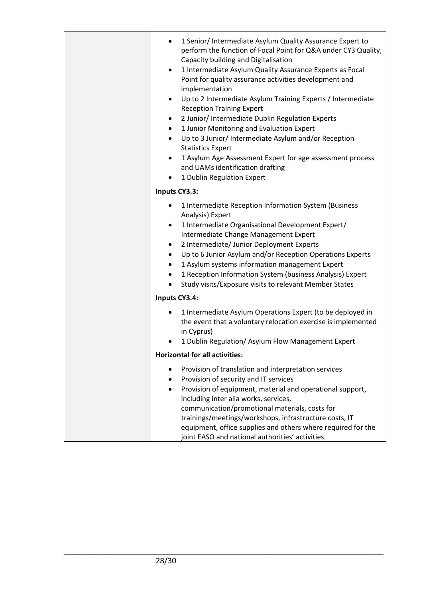|               | 1 Senior/ Intermediate Asylum Quality Assurance Expert to<br>٠<br>perform the function of Focal Point for Q&A under CY3 Quality,<br>Capacity building and Digitalisation<br>1 Intermediate Asylum Quality Assurance Experts as Focal<br>$\bullet$<br>Point for quality assurance activities development and<br>implementation<br>Up to 2 Intermediate Asylum Training Experts / Intermediate<br>$\bullet$<br><b>Reception Training Expert</b><br>2 Junior/ Intermediate Dublin Regulation Experts<br>٠<br>1 Junior Monitoring and Evaluation Expert<br>$\bullet$<br>Up to 3 Junior/ Intermediate Asylum and/or Reception<br>$\bullet$<br><b>Statistics Expert</b><br>1 Asylum Age Assessment Expert for age assessment process<br>$\bullet$<br>and UAMs identification drafting<br>1 Dublin Regulation Expert |  |
|---------------|---------------------------------------------------------------------------------------------------------------------------------------------------------------------------------------------------------------------------------------------------------------------------------------------------------------------------------------------------------------------------------------------------------------------------------------------------------------------------------------------------------------------------------------------------------------------------------------------------------------------------------------------------------------------------------------------------------------------------------------------------------------------------------------------------------------|--|
| Inputs CY3.3: |                                                                                                                                                                                                                                                                                                                                                                                                                                                                                                                                                                                                                                                                                                                                                                                                               |  |
|               | 1 Intermediate Reception Information System (Business<br>٠<br>Analysis) Expert<br>1 Intermediate Organisational Development Expert/<br>٠<br>Intermediate Change Management Expert<br>2 Intermediate/ Junior Deployment Experts<br>٠<br>Up to 6 Junior Asylum and/or Reception Operations Experts<br>$\bullet$<br>1 Asylum systems information management Expert<br>$\bullet$<br>1 Reception Information System (business Analysis) Expert<br>$\bullet$<br>Study visits/Exposure visits to relevant Member States<br>٠                                                                                                                                                                                                                                                                                         |  |
|               | Inputs CY3.4:                                                                                                                                                                                                                                                                                                                                                                                                                                                                                                                                                                                                                                                                                                                                                                                                 |  |
|               | 1 Intermediate Asylum Operations Expert (to be deployed in<br>٠<br>the event that a voluntary relocation exercise is implemented<br>in Cyprus)<br>1 Dublin Regulation/ Asylum Flow Management Expert                                                                                                                                                                                                                                                                                                                                                                                                                                                                                                                                                                                                          |  |
|               | <b>Horizontal for all activities:</b>                                                                                                                                                                                                                                                                                                                                                                                                                                                                                                                                                                                                                                                                                                                                                                         |  |
|               | Provision of translation and interpretation services<br>Provision of security and IT services<br>٠<br>Provision of equipment, material and operational support,<br>$\bullet$<br>including inter alia works, services,<br>communication/promotional materials, costs for<br>trainings/meetings/workshops, infrastructure costs, IT<br>equipment, office supplies and others where required for the<br>joint EASO and national authorities' activities.                                                                                                                                                                                                                                                                                                                                                         |  |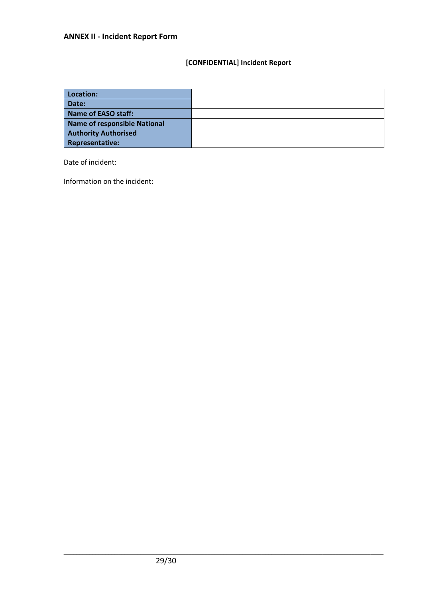# **[CONFIDENTIAL] Incident Report**

| Location:                    |  |
|------------------------------|--|
| Date:                        |  |
| Name of EASO staff:          |  |
| Name of responsible National |  |
| <b>Authority Authorised</b>  |  |
| <b>Representative:</b>       |  |

Date of incident:

Information on the incident: